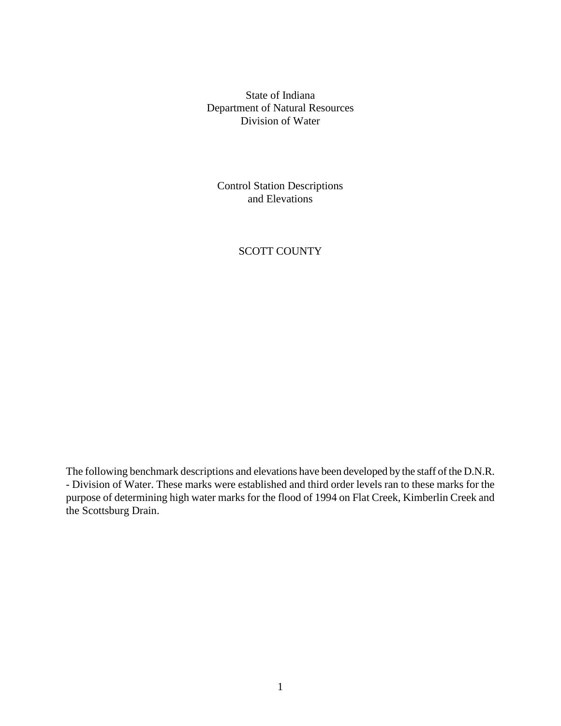State of Indiana Department of Natural Resources Division of Water

Control Station Descriptions and Elevations

# SCOTT COUNTY

The following benchmark descriptions and elevations have been developed by the staff of the D.N.R. - Division of Water. These marks were established and third order levels ran to these marks for the purpose of determining high water marks for the flood of 1994 on Flat Creek, Kimberlin Creek and the Scottsburg Drain.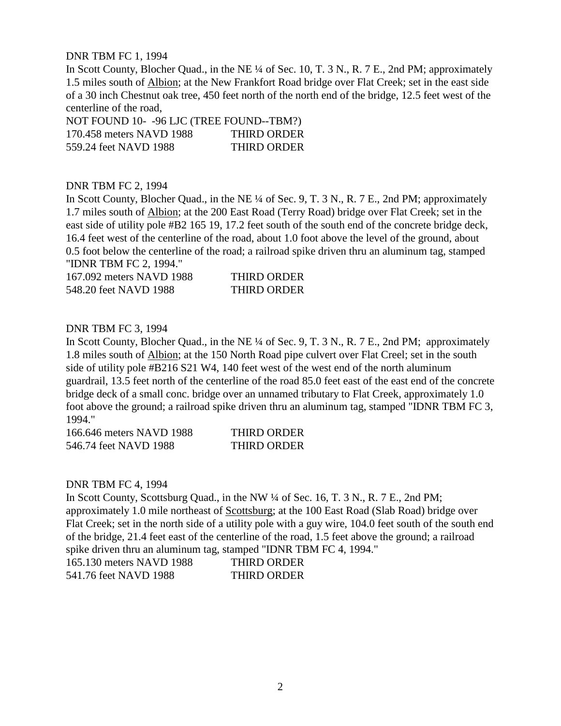DNR TBM FC 1, 1994

In Scott County, Blocher Quad., in the NE ¼ of Sec. 10, T. 3 N., R. 7 E., 2nd PM; approximately 1.5 miles south of Albion; at the New Frankfort Road bridge over Flat Creek; set in the east side of a 30 inch Chestnut oak tree, 450 feet north of the north end of the bridge, 12.5 feet west of the centerline of the road,

NOT FOUND 10- -96 LJC (TREE FOUND--TBM?) 170.458 meters NAVD 1988 THIRD ORDER 559.24 feet NAVD 1988 THIRD ORDER

## DNR TBM FC 2, 1994

In Scott County, Blocher Quad., in the NE ¼ of Sec. 9, T. 3 N., R. 7 E., 2nd PM; approximately 1.7 miles south of Albion; at the 200 East Road (Terry Road) bridge over Flat Creek; set in the east side of utility pole #B2 165 19, 17.2 feet south of the south end of the concrete bridge deck, 16.4 feet west of the centerline of the road, about 1.0 foot above the level of the ground, about 0.5 foot below the centerline of the road; a railroad spike driven thru an aluminum tag, stamped "IDNR TBM FC 2, 1994."

| 167.092 meters NAVD 1988 | <b>THIRD ORDER</b> |
|--------------------------|--------------------|
| 548.20 feet NAVD 1988    | <b>THIRD ORDER</b> |

## DNR TBM FC 3, 1994

In Scott County, Blocher Quad., in the NE ¼ of Sec. 9, T. 3 N., R. 7 E., 2nd PM; approximately 1.8 miles south of Albion; at the 150 North Road pipe culvert over Flat Creel; set in the south side of utility pole #B216 S21 W4, 140 feet west of the west end of the north aluminum guardrail, 13.5 feet north of the centerline of the road 85.0 feet east of the east end of the concrete bridge deck of a small conc. bridge over an unnamed tributary to Flat Creek, approximately 1.0 foot above the ground; a railroad spike driven thru an aluminum tag, stamped "IDNR TBM FC 3, 1994."

| 166.646 meters NAVD 1988 | <b>THIRD ORDER</b> |
|--------------------------|--------------------|
| 546.74 feet NAVD 1988    | <b>THIRD ORDER</b> |

#### DNR TBM FC 4, 1994

In Scott County, Scottsburg Quad., in the NW ¼ of Sec. 16, T. 3 N., R. 7 E., 2nd PM; approximately 1.0 mile northeast of Scottsburg; at the 100 East Road (Slab Road) bridge over Flat Creek; set in the north side of a utility pole with a guy wire, 104.0 feet south of the south end of the bridge, 21.4 feet east of the centerline of the road, 1.5 feet above the ground; a railroad spike driven thru an aluminum tag, stamped "IDNR TBM FC 4, 1994."

| 165.130 meters NAVD 1988 | THIRD ORDER |
|--------------------------|-------------|
| 541.76 feet NAVD 1988    | THIRD ORDER |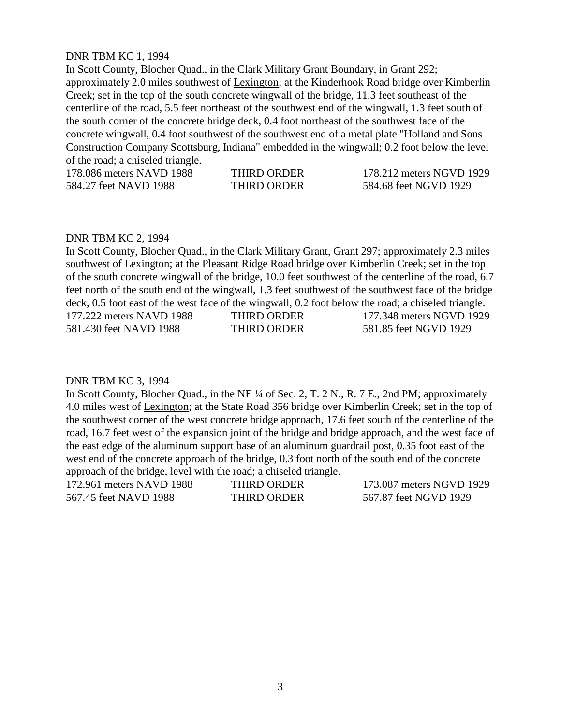# DNR TBM KC 1, 1994

In Scott County, Blocher Quad., in the Clark Military Grant Boundary, in Grant 292; approximately 2.0 miles southwest of Lexington; at the Kinderhook Road bridge over Kimberlin Creek; set in the top of the south concrete wingwall of the bridge, 11.3 feet southeast of the centerline of the road, 5.5 feet northeast of the southwest end of the wingwall, 1.3 feet south of the south corner of the concrete bridge deck, 0.4 foot northeast of the southwest face of the concrete wingwall, 0.4 foot southwest of the southwest end of a metal plate "Holland and Sons Construction Company Scottsburg, Indiana" embedded in the wingwall; 0.2 foot below the level of the road; a chiseled triangle.

| 178.086 meters NAVD 1988 | <b>THIRD ORDER</b> | 178.212 meters NGVD 1929 |
|--------------------------|--------------------|--------------------------|
| 584.27 feet NAVD 1988    | <b>THIRD ORDER</b> | 584.68 feet NGVD 1929    |

#### DNR TBM KC 2, 1994

In Scott County, Blocher Quad., in the Clark Military Grant, Grant 297; approximately 2.3 miles southwest of Lexington; at the Pleasant Ridge Road bridge over Kimberlin Creek; set in the top of the south concrete wingwall of the bridge, 10.0 feet southwest of the centerline of the road, 6.7 feet north of the south end of the wingwall, 1.3 feet southwest of the southwest face of the bridge deck, 0.5 foot east of the west face of the wingwall, 0.2 foot below the road; a chiseled triangle. 177.222 meters NAVD 1988 THIRD ORDER 177.348 meters NGVD 1929 581.430 feet NAVD 1988 THIRD ORDER 581.85 feet NGVD 1929

#### DNR TBM KC 3, 1994

In Scott County, Blocher Quad., in the NE ¼ of Sec. 2, T. 2 N., R. 7 E., 2nd PM; approximately 4.0 miles west of Lexington; at the State Road 356 bridge over Kimberlin Creek; set in the top of the southwest corner of the west concrete bridge approach, 17.6 feet south of the centerline of the road, 16.7 feet west of the expansion joint of the bridge and bridge approach, and the west face of the east edge of the aluminum support base of an aluminum guardrail post, 0.35 foot east of the west end of the concrete approach of the bridge, 0.3 foot north of the south end of the concrete approach of the bridge, level with the road; a chiseled triangle.

172.961 meters NAVD 1988 THIRD ORDER 173.087 meters NGVD 1929 567.45 feet NAVD 1988 THIRD ORDER 567.87 feet NGVD 1929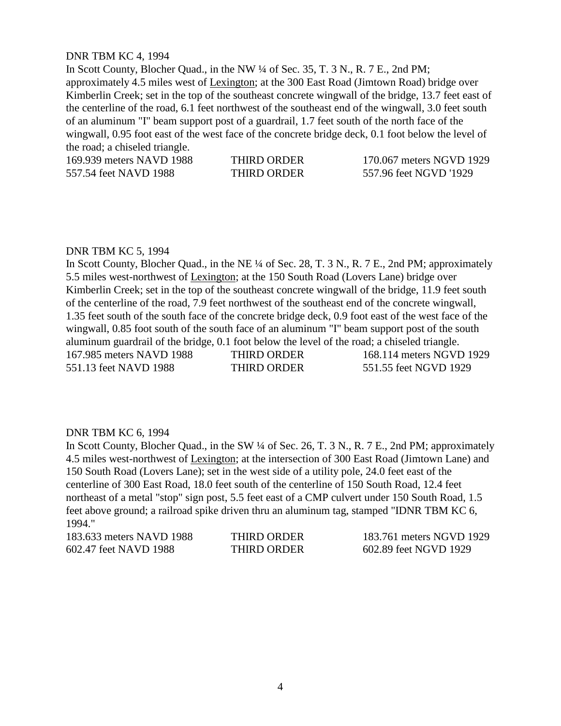## DNR TBM KC 4, 1994

In Scott County, Blocher Quad., in the NW ¼ of Sec. 35, T. 3 N., R. 7 E., 2nd PM; approximately 4.5 miles west of Lexington; at the 300 East Road (Jimtown Road) bridge over Kimberlin Creek; set in the top of the southeast concrete wingwall of the bridge, 13.7 feet east of the centerline of the road, 6.1 feet northwest of the southeast end of the wingwall, 3.0 feet south of an aluminum "I" beam support post of a guardrail, 1.7 feet south of the north face of the wingwall, 0.95 foot east of the west face of the concrete bridge deck, 0.1 foot below the level of the road; a chiseled triangle.

169.939 meters NAVD 1988 THIRD ORDER 170.067 meters NGVD 1929 557.54 feet NAVD 1988 THIRD ORDER 557.96 feet NGVD '1929

#### DNR TBM KC 5, 1994

In Scott County, Blocher Quad., in the NE ¼ of Sec. 28, T. 3 N., R. 7 E., 2nd PM; approximately 5.5 miles west-northwest of Lexington; at the 150 South Road (Lovers Lane) bridge over Kimberlin Creek; set in the top of the southeast concrete wingwall of the bridge, 11.9 feet south of the centerline of the road, 7.9 feet northwest of the southeast end of the concrete wingwall, 1.35 feet south of the south face of the concrete bridge deck, 0.9 foot east of the west face of the wingwall, 0.85 foot south of the south face of an aluminum "I" beam support post of the south aluminum guardrail of the bridge, 0.1 foot below the level of the road; a chiseled triangle. 167.985 meters NAVD 1988 THIRD ORDER 168.114 meters NGVD 1929 551.13 feet NAVD 1988 THIRD ORDER 551.55 feet NGVD 1929

#### DNR TBM KC 6, 1994

In Scott County, Blocher Quad., in the SW  $\frac{1}{4}$  of Sec. 26, T. 3 N., R. 7 E., 2nd PM; approximately 4.5 miles west-northwest of Lexington; at the intersection of 300 East Road (Jimtown Lane) and 150 South Road (Lovers Lane); set in the west side of a utility pole, 24.0 feet east of the centerline of 300 East Road, 18.0 feet south of the centerline of 150 South Road, 12.4 feet northeast of a metal "stop" sign post, 5.5 feet east of a CMP culvert under 150 South Road, 1.5 feet above ground; a railroad spike driven thru an aluminum tag, stamped "IDNR TBM KC 6, 1994."

183.633 meters NAVD 1988 THIRD ORDER 183.761 meters NGVD 1929 602.47 feet NAVD 1988 THIRD ORDER 602.89 feet NGVD 1929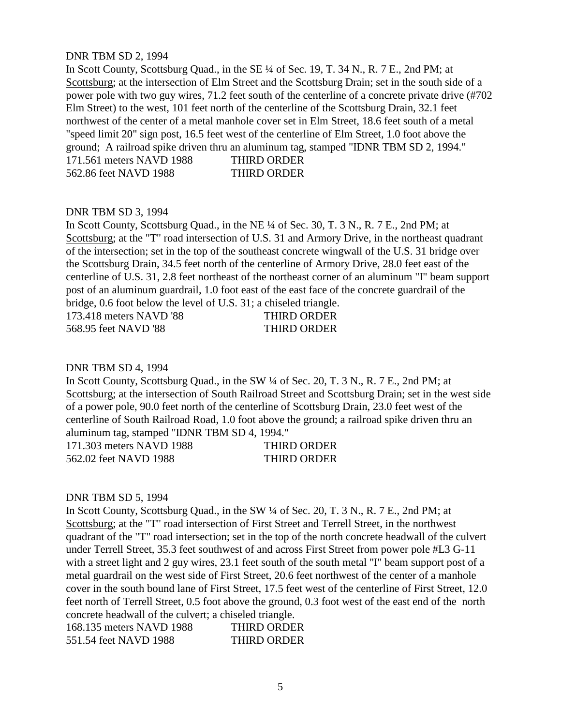## DNR TBM SD 2, 1994

In Scott County, Scottsburg Quad., in the SE ¼ of Sec. 19, T. 34 N., R. 7 E., 2nd PM; at Scottsburg; at the intersection of Elm Street and the Scottsburg Drain; set in the south side of a power pole with two guy wires, 71.2 feet south of the centerline of a concrete private drive (#702 Elm Street) to the west, 101 feet north of the centerline of the Scottsburg Drain, 32.1 feet northwest of the center of a metal manhole cover set in Elm Street, 18.6 feet south of a metal "speed limit 20" sign post, 16.5 feet west of the centerline of Elm Street, 1.0 foot above the ground; A railroad spike driven thru an aluminum tag, stamped "IDNR TBM SD 2, 1994." 171.561 meters NAVD 1988 THIRD ORDER

562.86 feet NAVD 1988 THIRD ORDER

DNR TBM SD 3, 1994 In Scott County, Scottsburg Quad., in the NE ¼ of Sec. 30, T. 3 N., R. 7 E., 2nd PM; at Scottsburg; at the "T" road intersection of U.S. 31 and Armory Drive, in the northeast quadrant of the intersection; set in the top of the southeast concrete wingwall of the U.S. 31 bridge over the Scottsburg Drain, 34.5 feet north of the centerline of Armory Drive, 28.0 feet east of the centerline of U.S. 31, 2.8 feet northeast of the northeast corner of an aluminum "I" beam support post of an aluminum guardrail, 1.0 foot east of the east face of the concrete guardrail of the bridge, 0.6 foot below the level of U.S. 31; a chiseled triangle.

| 173.418 meters NAVD '88 | <b>THIRD ORDER</b> |
|-------------------------|--------------------|
| 568.95 feet NAVD '88    | <b>THIRD ORDER</b> |

#### DNR TBM SD 4, 1994

In Scott County, Scottsburg Quad., in the SW ¼ of Sec. 20, T. 3 N., R. 7 E., 2nd PM; at Scottsburg; at the intersection of South Railroad Street and Scottsburg Drain; set in the west side of a power pole, 90.0 feet north of the centerline of Scottsburg Drain, 23.0 feet west of the centerline of South Railroad Road, 1.0 foot above the ground; a railroad spike driven thru an aluminum tag, stamped "IDNR TBM SD 4, 1994."

| 171.303 meters NAVD 1988 | <b>THIRD ORDER</b> |
|--------------------------|--------------------|
| 562.02 feet NAVD 1988    | <b>THIRD ORDER</b> |

# DNR TBM SD 5, 1994

In Scott County, Scottsburg Quad., in the SW  $\frac{1}{4}$  of Sec. 20, T. 3 N., R. 7 E., 2nd PM; at Scottsburg; at the "T" road intersection of First Street and Terrell Street, in the northwest quadrant of the "T" road intersection; set in the top of the north concrete headwall of the culvert under Terrell Street, 35.3 feet southwest of and across First Street from power pole #L3 G-11 with a street light and 2 guy wires, 23.1 feet south of the south metal "I" beam support post of a metal guardrail on the west side of First Street, 20.6 feet northwest of the center of a manhole cover in the south bound lane of First Street, 17.5 feet west of the centerline of First Street, 12.0 feet north of Terrell Street, 0.5 foot above the ground, 0.3 foot west of the east end of the north concrete headwall of the culvert; a chiseled triangle.

| 168.135 meters NAVD 1988 | <b>THIRD ORDER</b> |
|--------------------------|--------------------|
| 551.54 feet NAVD 1988    | THIRD ORDER        |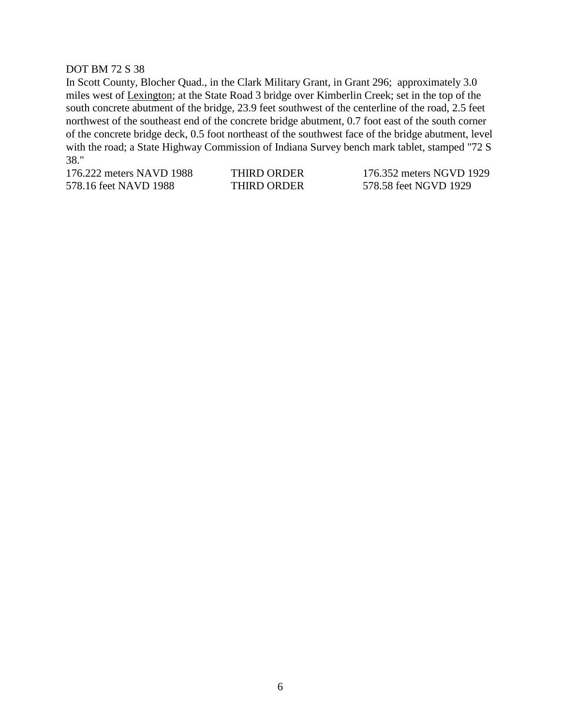## DOT BM 72 S 38

In Scott County, Blocher Quad., in the Clark Military Grant, in Grant 296; approximately 3.0 miles west of Lexington; at the State Road 3 bridge over Kimberlin Creek; set in the top of the south concrete abutment of the bridge, 23.9 feet southwest of the centerline of the road, 2.5 feet northwest of the southeast end of the concrete bridge abutment, 0.7 foot east of the south corner of the concrete bridge deck, 0.5 foot northeast of the southwest face of the bridge abutment, level with the road; a State Highway Commission of Indiana Survey bench mark tablet, stamped "72 S 38."

578.16 feet NAVD 1988 THIRD ORDER 578.58 feet NGVD 1929

176.222 meters NAVD 1988 THIRD ORDER 176.352 meters NGVD 1929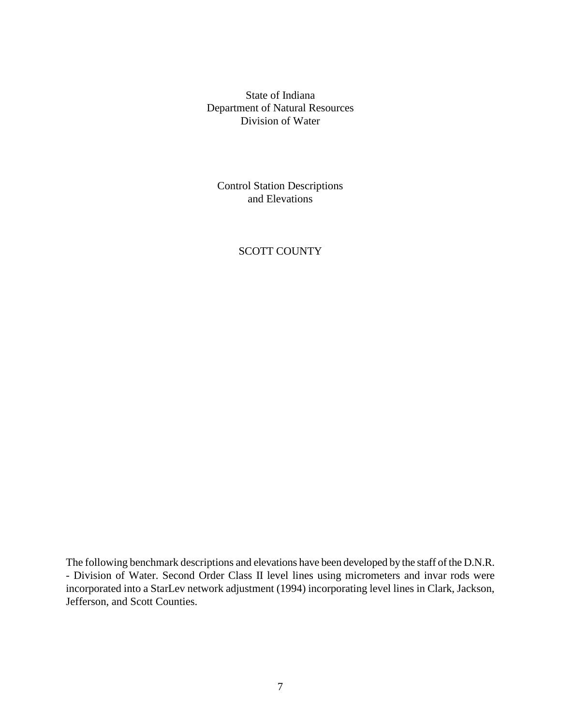State of Indiana Department of Natural Resources Division of Water

Control Station Descriptions and Elevations

# SCOTT COUNTY

The following benchmark descriptions and elevations have been developed by the staff of the D.N.R. - Division of Water. Second Order Class II level lines using micrometers and invar rods were incorporated into a StarLev network adjustment (1994) incorporating level lines in Clark, Jackson, Jefferson, and Scott Counties.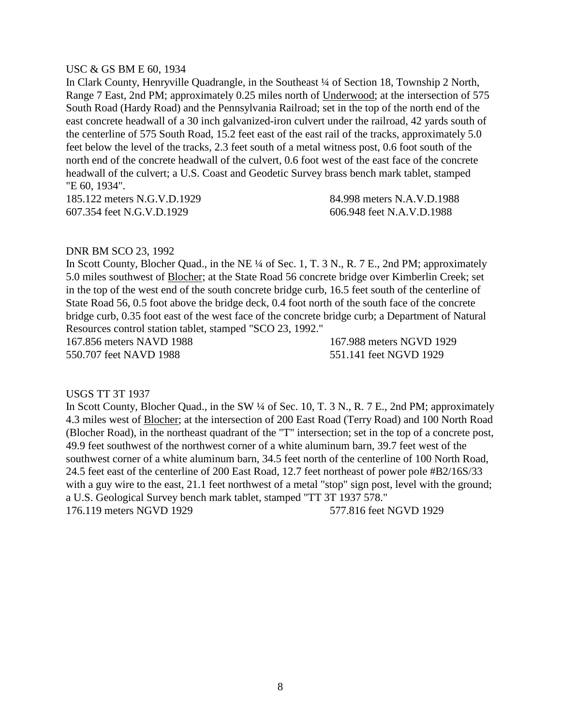## USC & GS BM E 60, 1934

In Clark County, Henryville Quadrangle, in the Southeast ¼ of Section 18, Township 2 North, Range 7 East, 2nd PM; approximately 0.25 miles north of Underwood; at the intersection of 575 South Road (Hardy Road) and the Pennsylvania Railroad; set in the top of the north end of the east concrete headwall of a 30 inch galvanized-iron culvert under the railroad, 42 yards south of the centerline of 575 South Road, 15.2 feet east of the east rail of the tracks, approximately 5.0 feet below the level of the tracks, 2.3 feet south of a metal witness post, 0.6 foot south of the north end of the concrete headwall of the culvert, 0.6 foot west of the east face of the concrete headwall of the culvert; a U.S. Coast and Geodetic Survey brass bench mark tablet, stamped "E 60, 1934".

185.122 meters N.G.V.D.1929 84.998 meters N.A.V.D.1988 607.354 feet N.G.V.D.1929 606.948 feet N.A.V.D.1988

## DNR BM SCO 23, 1992

In Scott County, Blocher Quad., in the NE ¼ of Sec. 1, T. 3 N., R. 7 E., 2nd PM; approximately 5.0 miles southwest of Blocher; at the State Road 56 concrete bridge over Kimberlin Creek; set in the top of the west end of the south concrete bridge curb, 16.5 feet south of the centerline of State Road 56, 0.5 foot above the bridge deck, 0.4 foot north of the south face of the concrete bridge curb, 0.35 foot east of the west face of the concrete bridge curb; a Department of Natural Resources control station tablet, stamped "SCO 23, 1992."

167.856 meters NAVD 1988 167.988 meters NGVD 1929 550.707 feet NAVD 1988 551.141 feet NGVD 1929

## USGS TT 3T 1937

In Scott County, Blocher Quad., in the SW  $\frac{1}{4}$  of Sec. 10, T. 3 N., R. 7 E., 2nd PM; approximately 4.3 miles west of Blocher; at the intersection of 200 East Road (Terry Road) and 100 North Road (Blocher Road), in the northeast quadrant of the "T" intersection; set in the top of a concrete post, 49.9 feet southwest of the northwest corner of a white aluminum barn, 39.7 feet west of the southwest corner of a white aluminum barn, 34.5 feet north of the centerline of 100 North Road, 24.5 feet east of the centerline of 200 East Road, 12.7 feet northeast of power pole #B2/16S/33 with a guy wire to the east, 21.1 feet northwest of a metal "stop" sign post, level with the ground; a U.S. Geological Survey bench mark tablet, stamped "TT 3T 1937 578." 176.119 meters NGVD 1929 577.816 feet NGVD 1929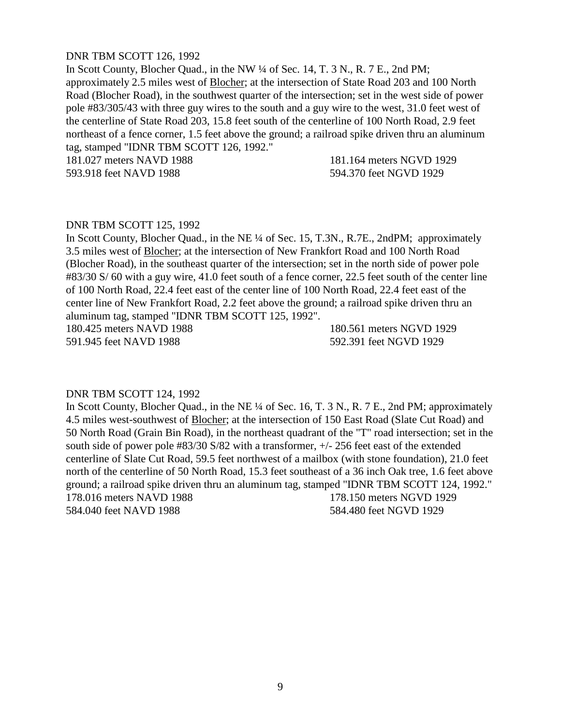## DNR TBM SCOTT 126, 1992

In Scott County, Blocher Quad., in the NW ¼ of Sec. 14, T. 3 N., R. 7 E., 2nd PM; approximately 2.5 miles west of Blocher; at the intersection of State Road 203 and 100 North Road (Blocher Road), in the southwest quarter of the intersection; set in the west side of power pole #83/305/43 with three guy wires to the south and a guy wire to the west, 31.0 feet west of the centerline of State Road 203, 15.8 feet south of the centerline of 100 North Road, 2.9 feet northeast of a fence corner, 1.5 feet above the ground; a railroad spike driven thru an aluminum tag, stamped "IDNR TBM SCOTT 126, 1992."

181.027 meters NAVD 1988 181.164 meters NGVD 1929 593.918 feet NAVD 1988 594.370 feet NGVD 1929

#### DNR TBM SCOTT 125, 1992

In Scott County, Blocher Quad., in the NE ¼ of Sec. 15, T.3N., R.7E., 2ndPM; approximately 3.5 miles west of Blocher; at the intersection of New Frankfort Road and 100 North Road (Blocher Road), in the southeast quarter of the intersection; set in the north side of power pole #83/30 S/ 60 with a guy wire, 41.0 feet south of a fence corner, 22.5 feet south of the center line of 100 North Road, 22.4 feet east of the center line of 100 North Road, 22.4 feet east of the center line of New Frankfort Road, 2.2 feet above the ground; a railroad spike driven thru an aluminum tag, stamped "IDNR TBM SCOTT 125, 1992".

180.425 meters NAVD 1988 180.561 meters NGVD 1929 591.945 feet NAVD 1988 592.391 feet NGVD 1929

# DNR TBM SCOTT 124, 1992

In Scott County, Blocher Quad., in the NE ¼ of Sec. 16, T. 3 N., R. 7 E., 2nd PM; approximately 4.5 miles west-southwest of Blocher; at the intersection of 150 East Road (Slate Cut Road) and 50 North Road (Grain Bin Road), in the northeast quadrant of the "T" road intersection; set in the south side of power pole #83/30 S/82 with a transformer, +/- 256 feet east of the extended centerline of Slate Cut Road, 59.5 feet northwest of a mailbox (with stone foundation), 21.0 feet north of the centerline of 50 North Road, 15.3 feet southeast of a 36 inch Oak tree, 1.6 feet above ground; a railroad spike driven thru an aluminum tag, stamped "IDNR TBM SCOTT 124, 1992." 178.016 meters NAVD 1988 178.150 meters NGVD 1929 584.040 feet NAVD 1988 584.480 feet NGVD 1929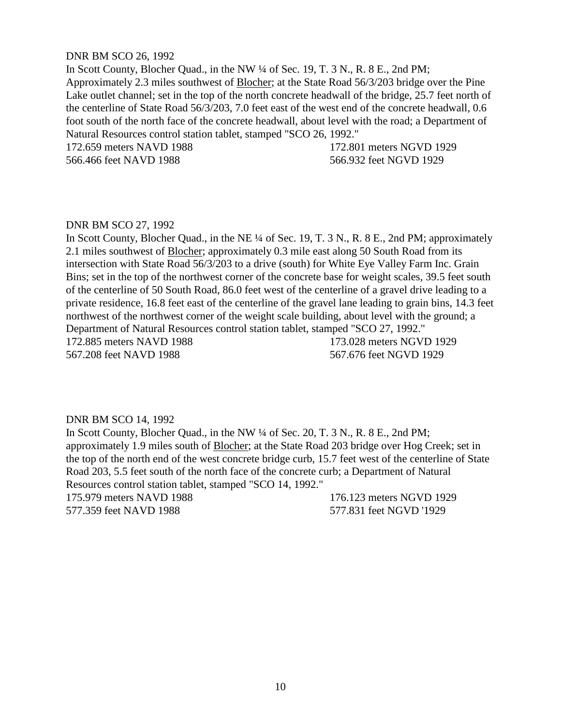#### DNR BM SCO 26, 1992

In Scott County, Blocher Quad., in the NW ¼ of Sec. 19, T. 3 N., R. 8 E., 2nd PM; Approximately 2.3 miles southwest of Blocher; at the State Road 56/3/203 bridge over the Pine Lake outlet channel; set in the top of the north concrete headwall of the bridge, 25.7 feet north of the centerline of State Road 56/3/203, 7.0 feet east of the west end of the concrete headwall, 0.6 foot south of the north face of the concrete headwall, about level with the road; a Department of Natural Resources control station tablet, stamped "SCO 26, 1992."

566.466 feet NAVD 1988 566.932 feet NGVD 1929

172.659 meters NAVD 1988 172.801 meters NGVD 1929

#### DNR BM SCO 27, 1992

In Scott County, Blocher Quad., in the NE ¼ of Sec. 19, T. 3 N., R. 8 E., 2nd PM; approximately 2.1 miles southwest of Blocher; approximately 0.3 mile east along 50 South Road from its intersection with State Road 56/3/203 to a drive (south) for White Eye Valley Farm Inc. Grain Bins; set in the top of the northwest corner of the concrete base for weight scales, 39.5 feet south of the centerline of 50 South Road, 86.0 feet west of the centerline of a gravel drive leading to a private residence, 16.8 feet east of the centerline of the gravel lane leading to grain bins, 14.3 feet northwest of the northwest corner of the weight scale building, about level with the ground; a Department of Natural Resources control station tablet, stamped "SCO 27, 1992." 172.885 meters NAVD 1988 173.028 meters NGVD 1929 567.208 feet NAVD 1988 567.676 feet NGVD 1929

#### DNR BM SCO 14, 1992

In Scott County, Blocher Quad., in the NW ¼ of Sec. 20, T. 3 N., R. 8 E., 2nd PM; approximately 1.9 miles south of Blocher; at the State Road 203 bridge over Hog Creek; set in the top of the north end of the west concrete bridge curb, 15.7 feet west of the centerline of State Road 203, 5.5 feet south of the north face of the concrete curb; a Department of Natural Resources control station tablet, stamped "SCO 14, 1992."

175.979 meters NAVD 1988 176.123 meters NGVD 1929 577.359 feet NAVD 1988 577.831 feet NGVD '1929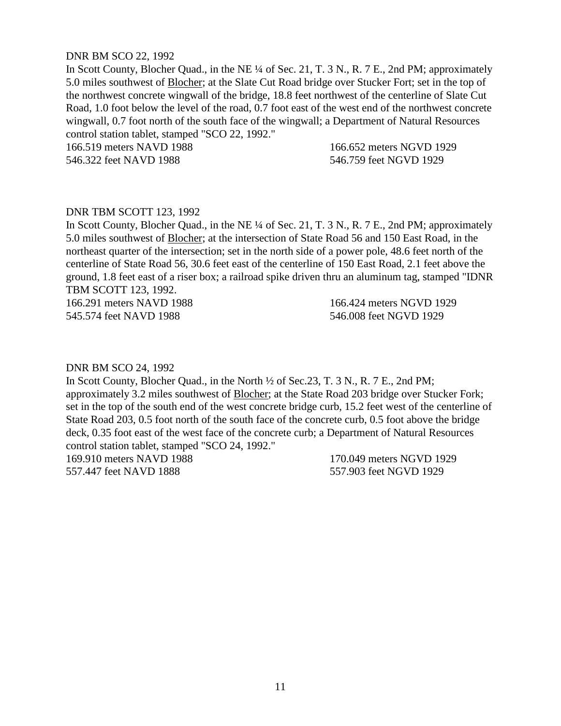## DNR BM SCO 22, 1992

In Scott County, Blocher Quad., in the NE ¼ of Sec. 21, T. 3 N., R. 7 E., 2nd PM; approximately 5.0 miles southwest of Blocher; at the Slate Cut Road bridge over Stucker Fort; set in the top of the northwest concrete wingwall of the bridge, 18.8 feet northwest of the centerline of Slate Cut Road, 1.0 foot below the level of the road, 0.7 foot east of the west end of the northwest concrete wingwall, 0.7 foot north of the south face of the wingwall; a Department of Natural Resources control station tablet, stamped "SCO 22, 1992."

166.519 meters NAVD 1988 166.652 meters NGVD 1929 546.322 feet NAVD 1988 546.759 feet NGVD 1929

# DNR TBM SCOTT 123, 1992

In Scott County, Blocher Quad., in the NE ¼ of Sec. 21, T. 3 N., R. 7 E., 2nd PM; approximately 5.0 miles southwest of Blocher; at the intersection of State Road 56 and 150 East Road, in the northeast quarter of the intersection; set in the north side of a power pole, 48.6 feet north of the centerline of State Road 56, 30.6 feet east of the centerline of 150 East Road, 2.1 feet above the ground, 1.8 feet east of a riser box; a railroad spike driven thru an aluminum tag, stamped "IDNR TBM SCOTT 123, 1992.

166.291 meters NAVD 1988 166.424 meters NGVD 1929 545.574 feet NAVD 1988 546.008 feet NGVD 1929

#### DNR BM SCO 24, 1992

In Scott County, Blocher Quad., in the North ½ of Sec.23, T. 3 N., R. 7 E., 2nd PM; approximately 3.2 miles southwest of Blocher; at the State Road 203 bridge over Stucker Fork; set in the top of the south end of the west concrete bridge curb, 15.2 feet west of the centerline of State Road 203, 0.5 foot north of the south face of the concrete curb, 0.5 foot above the bridge deck, 0.35 foot east of the west face of the concrete curb; a Department of Natural Resources control station tablet, stamped "SCO 24, 1992." 169.910 meters NAVD 1988 170.049 meters NGVD 1929

557.447 feet NAVD 1888 557.903 feet NGVD 1929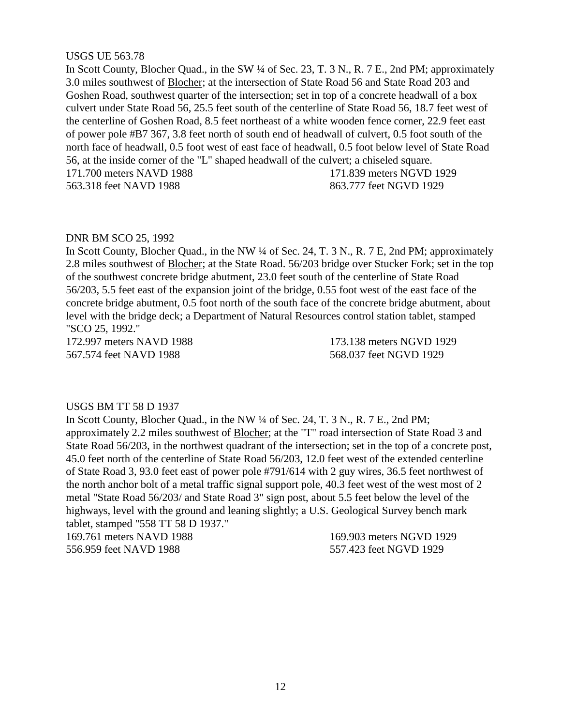## USGS UE 563.78

In Scott County, Blocher Quad., in the SW  $\frac{1}{4}$  of Sec. 23, T. 3 N., R. 7 E., 2nd PM; approximately 3.0 miles southwest of Blocher; at the intersection of State Road 56 and State Road 203 and Goshen Road, southwest quarter of the intersection; set in top of a concrete headwall of a box culvert under State Road 56, 25.5 feet south of the centerline of State Road 56, 18.7 feet west of the centerline of Goshen Road, 8.5 feet northeast of a white wooden fence corner, 22.9 feet east of power pole #B7 367, 3.8 feet north of south end of headwall of culvert, 0.5 foot south of the north face of headwall, 0.5 foot west of east face of headwall, 0.5 foot below level of State Road 56, at the inside corner of the "L" shaped headwall of the culvert; a chiseled square. 171.700 meters NAVD 1988 171.839 meters NGVD 1929

563.318 feet NAVD 1988 863.777 feet NGVD 1929

# DNR BM SCO 25, 1992

In Scott County, Blocher Quad., in the NW ¼ of Sec. 24, T. 3 N., R. 7 E, 2nd PM; approximately 2.8 miles southwest of Blocher; at the State Road. 56/203 bridge over Stucker Fork; set in the top of the southwest concrete bridge abutment, 23.0 feet south of the centerline of State Road 56/203, 5.5 feet east of the expansion joint of the bridge, 0.55 foot west of the east face of the concrete bridge abutment, 0.5 foot north of the south face of the concrete bridge abutment, about level with the bridge deck; a Department of Natural Resources control station tablet, stamped "SCO 25, 1992."

172.997 meters NAVD 1988 173.138 meters NGVD 1929 567.574 feet NAVD 1988 568.037 feet NGVD 1929

# USGS BM TT 58 D 1937

In Scott County, Blocher Quad., in the NW ¼ of Sec. 24, T. 3 N., R. 7 E., 2nd PM; approximately 2.2 miles southwest of Blocher; at the "T" road intersection of State Road 3 and State Road 56/203, in the northwest quadrant of the intersection; set in the top of a concrete post, 45.0 feet north of the centerline of State Road 56/203, 12.0 feet west of the extended centerline of State Road 3, 93.0 feet east of power pole #791/614 with 2 guy wires, 36.5 feet northwest of the north anchor bolt of a metal traffic signal support pole, 40.3 feet west of the west most of 2 metal "State Road 56/203/ and State Road 3" sign post, about 5.5 feet below the level of the highways, level with the ground and leaning slightly; a U.S. Geological Survey bench mark tablet, stamped "558 TT 58 D 1937."

169.761 meters NAVD 1988 169.903 meters NGVD 1929 556.959 feet NAVD 1988 557.423 feet NGVD 1929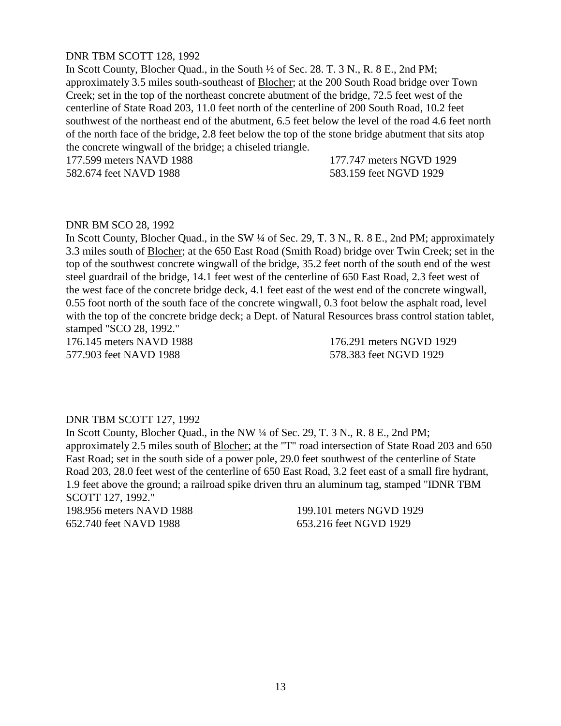## DNR TBM SCOTT 128, 1992

In Scott County, Blocher Quad., in the South ½ of Sec. 28. T. 3 N., R. 8 E., 2nd PM; approximately 3.5 miles south-southeast of Blocher; at the 200 South Road bridge over Town Creek; set in the top of the northeast concrete abutment of the bridge, 72.5 feet west of the centerline of State Road 203, 11.0 feet north of the centerline of 200 South Road, 10.2 feet southwest of the northeast end of the abutment, 6.5 feet below the level of the road 4.6 feet north of the north face of the bridge, 2.8 feet below the top of the stone bridge abutment that sits atop the concrete wingwall of the bridge; a chiseled triangle.

177.599 meters NAVD 1988 177.747 meters NGVD 1929

582.674 feet NAVD 1988 583.159 feet NGVD 1929

#### DNR BM SCO 28, 1992

In Scott County, Blocher Quad., in the SW ¼ of Sec. 29, T. 3 N., R. 8 E., 2nd PM; approximately 3.3 miles south of Blocher; at the 650 East Road (Smith Road) bridge over Twin Creek; set in the top of the southwest concrete wingwall of the bridge, 35.2 feet north of the south end of the west steel guardrail of the bridge, 14.1 feet west of the centerline of 650 East Road, 2.3 feet west of the west face of the concrete bridge deck, 4.1 feet east of the west end of the concrete wingwall, 0.55 foot north of the south face of the concrete wingwall, 0.3 foot below the asphalt road, level with the top of the concrete bridge deck; a Dept. of Natural Resources brass control station tablet, stamped "SCO 28, 1992."

176.145 meters NAVD 1988 176.291 meters NGVD 1929 577.903 feet NAVD 1988 578.383 feet NGVD 1929

## DNR TBM SCOTT 127, 1992

In Scott County, Blocher Quad., in the NW ¼ of Sec. 29, T. 3 N., R. 8 E., 2nd PM; approximately 2.5 miles south of Blocher; at the "T" road intersection of State Road 203 and 650 East Road; set in the south side of a power pole, 29.0 feet southwest of the centerline of State Road 203, 28.0 feet west of the centerline of 650 East Road, 3.2 feet east of a small fire hydrant, 1.9 feet above the ground; a railroad spike driven thru an aluminum tag, stamped "IDNR TBM SCOTT 127, 1992."

198.956 meters NAVD 1988 199.101 meters NGVD 1929 652.740 feet NAVD 1988 653.216 feet NGVD 1929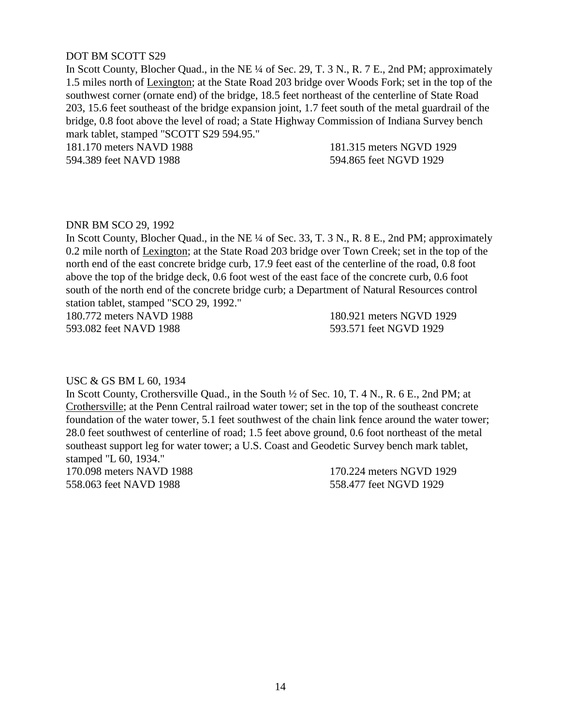# DOT BM SCOTT S29

In Scott County, Blocher Quad., in the NE ¼ of Sec. 29, T. 3 N., R. 7 E., 2nd PM; approximately 1.5 miles north of Lexington; at the State Road 203 bridge over Woods Fork; set in the top of the southwest corner (ornate end) of the bridge, 18.5 feet northeast of the centerline of State Road 203, 15.6 feet southeast of the bridge expansion joint, 1.7 feet south of the metal guardrail of the bridge, 0.8 foot above the level of road; a State Highway Commission of Indiana Survey bench mark tablet, stamped "SCOTT S29 594.95."

181.170 meters NAVD 1988 181.315 meters NGVD 1929 594.389 feet NAVD 1988 594.865 feet NGVD 1929

## DNR BM SCO 29, 1992

In Scott County, Blocher Quad., in the NE ¼ of Sec. 33, T. 3 N., R. 8 E., 2nd PM; approximately 0.2 mile north of Lexington; at the State Road 203 bridge over Town Creek; set in the top of the north end of the east concrete bridge curb, 17.9 feet east of the centerline of the road, 0.8 foot above the top of the bridge deck, 0.6 foot west of the east face of the concrete curb, 0.6 foot south of the north end of the concrete bridge curb; a Department of Natural Resources control station tablet, stamped "SCO 29, 1992."

180.772 meters NAVD 1988 180.921 meters NGVD 1929 593.082 feet NAVD 1988 593.571 feet NGVD 1929

#### USC & GS BM L 60, 1934

In Scott County, Crothersville Quad., in the South ½ of Sec. 10, T. 4 N., R. 6 E., 2nd PM; at Crothersville; at the Penn Central railroad water tower; set in the top of the southeast concrete foundation of the water tower, 5.1 feet southwest of the chain link fence around the water tower; 28.0 feet southwest of centerline of road; 1.5 feet above ground, 0.6 foot northeast of the metal southeast support leg for water tower; a U.S. Coast and Geodetic Survey bench mark tablet, stamped "L 60, 1934."

170.098 meters NAVD 1988 170.224 meters NGVD 1929 558.063 feet NAVD 1988 558.477 feet NGVD 1929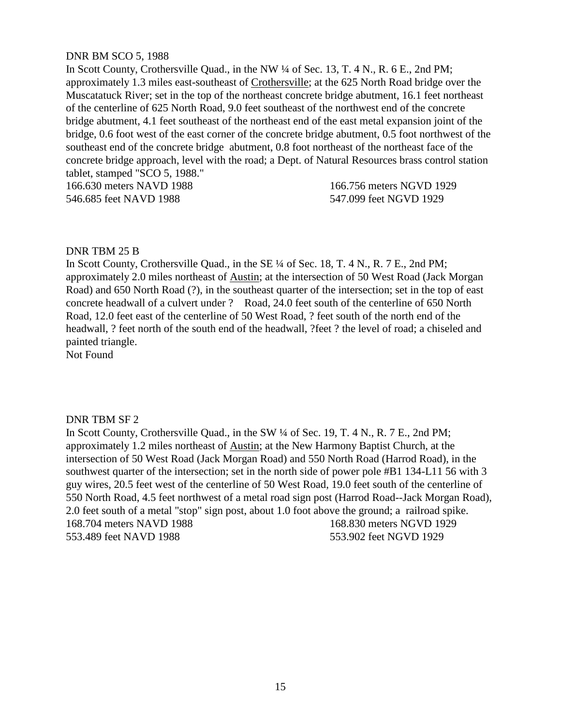# DNR BM SCO 5, 1988

In Scott County, Crothersville Quad., in the NW ¼ of Sec. 13, T. 4 N., R. 6 E., 2nd PM; approximately 1.3 miles east-southeast of Crothersville; at the 625 North Road bridge over the Muscatatuck River; set in the top of the northeast concrete bridge abutment, 16.1 feet northeast of the centerline of 625 North Road, 9.0 feet southeast of the northwest end of the concrete bridge abutment, 4.1 feet southeast of the northeast end of the east metal expansion joint of the bridge, 0.6 foot west of the east corner of the concrete bridge abutment, 0.5 foot northwest of the southeast end of the concrete bridge abutment, 0.8 foot northeast of the northeast face of the concrete bridge approach, level with the road; a Dept. of Natural Resources brass control station tablet, stamped "SCO 5, 1988."

166.630 meters NAVD 1988 166.756 meters NGVD 1929 546.685 feet NAVD 1988 547.099 feet NGVD 1929

## DNR TBM 25 B

In Scott County, Crothersville Quad., in the SE  $\frac{1}{4}$  of Sec. 18, T. 4 N., R. 7 E., 2nd PM; approximately 2.0 miles northeast of Austin; at the intersection of 50 West Road (Jack Morgan Road) and 650 North Road (?), in the southeast quarter of the intersection; set in the top of east concrete headwall of a culvert under ? Road, 24.0 feet south of the centerline of 650 North Road, 12.0 feet east of the centerline of 50 West Road, ? feet south of the north end of the headwall, ? feet north of the south end of the headwall, ?feet ? the level of road; a chiseled and painted triangle.

Not Found

#### DNR TBM SF 2

In Scott County, Crothersville Quad., in the SW  $\frac{1}{4}$  of Sec. 19, T. 4 N., R. 7 E., 2nd PM; approximately 1.2 miles northeast of Austin; at the New Harmony Baptist Church, at the intersection of 50 West Road (Jack Morgan Road) and 550 North Road (Harrod Road), in the southwest quarter of the intersection; set in the north side of power pole #B1 134-L11 56 with 3 guy wires, 20.5 feet west of the centerline of 50 West Road, 19.0 feet south of the centerline of 550 North Road, 4.5 feet northwest of a metal road sign post (Harrod Road--Jack Morgan Road), 2.0 feet south of a metal "stop" sign post, about 1.0 foot above the ground; a railroad spike. 168.704 meters NAVD 1988 168.830 meters NGVD 1929 553.489 feet NAVD 1988 553.902 feet NGVD 1929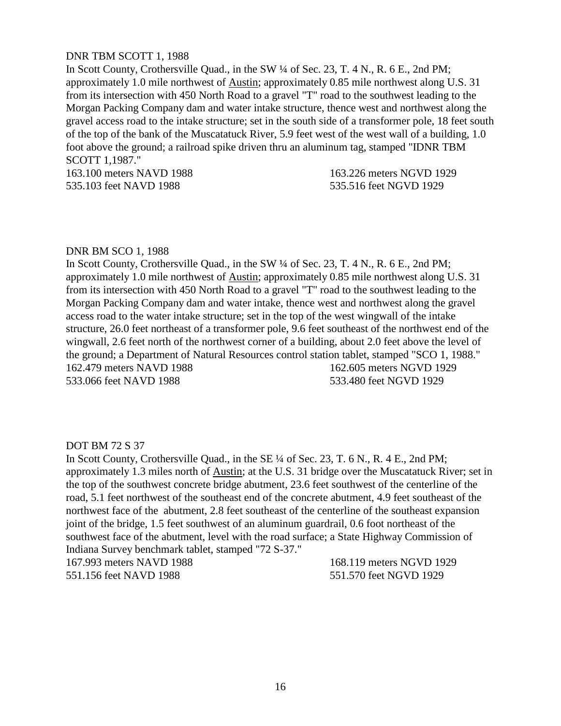# DNR TBM SCOTT 1, 1988

In Scott County, Crothersville Quad., in the SW ¼ of Sec. 23, T. 4 N., R. 6 E., 2nd PM; approximately 1.0 mile northwest of Austin; approximately 0.85 mile northwest along U.S. 31 from its intersection with 450 North Road to a gravel "T" road to the southwest leading to the Morgan Packing Company dam and water intake structure, thence west and northwest along the gravel access road to the intake structure; set in the south side of a transformer pole, 18 feet south of the top of the bank of the Muscatatuck River, 5.9 feet west of the west wall of a building, 1.0 foot above the ground; a railroad spike driven thru an aluminum tag, stamped "IDNR TBM SCOTT 1,1987."

163.100 meters NAVD 1988 163.226 meters NGVD 1929 535.103 feet NAVD 1988 535.516 feet NGVD 1929

#### DNR BM SCO 1, 1988

In Scott County, Crothersville Quad., in the SW  $\frac{1}{4}$  of Sec. 23, T. 4 N., R. 6 E., 2nd PM; approximately 1.0 mile northwest of Austin; approximately 0.85 mile northwest along U.S. 31 from its intersection with 450 North Road to a gravel "T" road to the southwest leading to the Morgan Packing Company dam and water intake, thence west and northwest along the gravel access road to the water intake structure; set in the top of the west wingwall of the intake structure, 26.0 feet northeast of a transformer pole, 9.6 feet southeast of the northwest end of the wingwall, 2.6 feet north of the northwest corner of a building, about 2.0 feet above the level of the ground; a Department of Natural Resources control station tablet, stamped "SCO 1, 1988." 162.479 meters NAVD 1988 162.605 meters NGVD 1929 533.066 feet NAVD 1988 533.480 feet NGVD 1929

#### DOT BM 72 S 37

In Scott County, Crothersville Quad., in the SE ¼ of Sec. 23, T. 6 N., R. 4 E., 2nd PM; approximately 1.3 miles north of Austin; at the U.S. 31 bridge over the Muscatatuck River; set in the top of the southwest concrete bridge abutment, 23.6 feet southwest of the centerline of the road, 5.1 feet northwest of the southeast end of the concrete abutment, 4.9 feet southeast of the northwest face of the abutment, 2.8 feet southeast of the centerline of the southeast expansion joint of the bridge, 1.5 feet southwest of an aluminum guardrail, 0.6 foot northeast of the southwest face of the abutment, level with the road surface; a State Highway Commission of Indiana Survey benchmark tablet, stamped "72 S-37."

551.156 feet NAVD 1988 551.570 feet NGVD 1929

167.993 meters NAVD 1988 168.119 meters NGVD 1929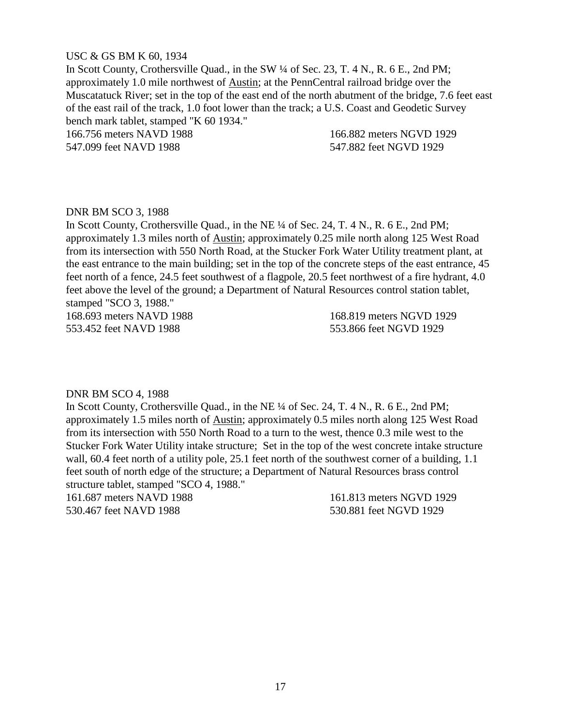## USC & GS BM K 60, 1934

In Scott County, Crothersville Quad., in the SW ¼ of Sec. 23, T. 4 N., R. 6 E., 2nd PM; approximately 1.0 mile northwest of Austin; at the PennCentral railroad bridge over the Muscatatuck River; set in the top of the east end of the north abutment of the bridge, 7.6 feet east of the east rail of the track, 1.0 foot lower than the track; a U.S. Coast and Geodetic Survey bench mark tablet, stamped "K 60 1934." 166.756 meters NAVD 1988 166.882 meters NGVD 1929

547.099 feet NAVD 1988 547.882 feet NGVD 1929

## DNR BM SCO 3, 1988

In Scott County, Crothersville Quad., in the NE  $\frac{1}{4}$  of Sec. 24, T. 4 N., R. 6 E., 2nd PM; approximately 1.3 miles north of Austin; approximately 0.25 mile north along 125 West Road from its intersection with 550 North Road, at the Stucker Fork Water Utility treatment plant, at the east entrance to the main building; set in the top of the concrete steps of the east entrance, 45 feet north of a fence, 24.5 feet southwest of a flagpole, 20.5 feet northwest of a fire hydrant, 4.0 feet above the level of the ground; a Department of Natural Resources control station tablet, stamped "SCO 3, 1988."

168.693 meters NAVD 1988 168.819 meters NGVD 1929 553.452 feet NAVD 1988 553.866 feet NGVD 1929

#### DNR BM SCO 4, 1988

In Scott County, Crothersville Quad., in the NE ¼ of Sec. 24, T. 4 N., R. 6 E., 2nd PM; approximately 1.5 miles north of Austin; approximately 0.5 miles north along 125 West Road from its intersection with 550 North Road to a turn to the west, thence 0.3 mile west to the Stucker Fork Water Utility intake structure; Set in the top of the west concrete intake structure wall, 60.4 feet north of a utility pole, 25.1 feet north of the southwest corner of a building, 1.1 feet south of north edge of the structure; a Department of Natural Resources brass control structure tablet, stamped "SCO 4, 1988."

530.467 feet NAVD 1988 530.881 feet NGVD 1929

161.687 meters NAVD 1988 161.813 meters NGVD 1929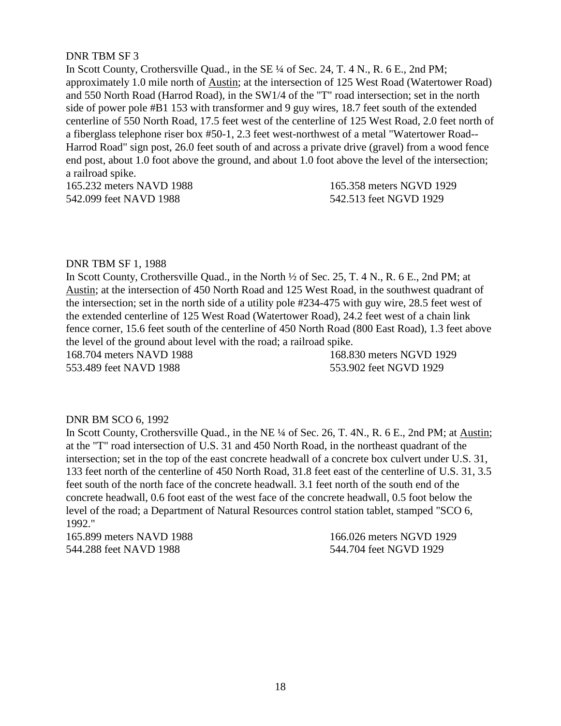# DNR TBM SF 3

In Scott County, Crothersville Quad., in the SE  $\frac{1}{4}$  of Sec. 24, T. 4 N., R. 6 E., 2nd PM; approximately 1.0 mile north of Austin; at the intersection of 125 West Road (Watertower Road) and 550 North Road (Harrod Road), in the SW1/4 of the "T" road intersection; set in the north side of power pole #B1 153 with transformer and 9 guy wires, 18.7 feet south of the extended centerline of 550 North Road, 17.5 feet west of the centerline of 125 West Road, 2.0 feet north of a fiberglass telephone riser box #50-1, 2.3 feet west-northwest of a metal "Watertower Road-- Harrod Road" sign post, 26.0 feet south of and across a private drive (gravel) from a wood fence end post, about 1.0 foot above the ground, and about 1.0 foot above the level of the intersection; a railroad spike.

165.232 meters NAVD 1988 165.358 meters NGVD 1929 542.099 feet NAVD 1988 542.513 feet NGVD 1929

## DNR TBM SF 1, 1988

In Scott County, Crothersville Quad., in the North ½ of Sec. 25, T. 4 N., R. 6 E., 2nd PM; at Austin; at the intersection of 450 North Road and 125 West Road, in the southwest quadrant of the intersection; set in the north side of a utility pole #234-475 with guy wire, 28.5 feet west of the extended centerline of 125 West Road (Watertower Road), 24.2 feet west of a chain link fence corner, 15.6 feet south of the centerline of 450 North Road (800 East Road), 1.3 feet above the level of the ground about level with the road; a railroad spike.

168.704 meters NAVD 1988 168.830 meters NGVD 1929 553.489 feet NAVD 1988 553.902 feet NGVD 1929

#### DNR BM SCO 6, 1992

In Scott County, Crothersville Quad., in the NE ¼ of Sec. 26, T. 4N., R. 6 E., 2nd PM; at Austin; at the "T" road intersection of U.S. 31 and 450 North Road, in the northeast quadrant of the intersection; set in the top of the east concrete headwall of a concrete box culvert under U.S. 31, 133 feet north of the centerline of 450 North Road, 31.8 feet east of the centerline of U.S. 31, 3.5 feet south of the north face of the concrete headwall. 3.1 feet north of the south end of the concrete headwall, 0.6 foot east of the west face of the concrete headwall, 0.5 foot below the level of the road; a Department of Natural Resources control station tablet, stamped "SCO 6, 1992."

165.899 meters NAVD 1988 166.026 meters NGVD 1929 544.288 feet NAVD 1988 544.704 feet NGVD 1929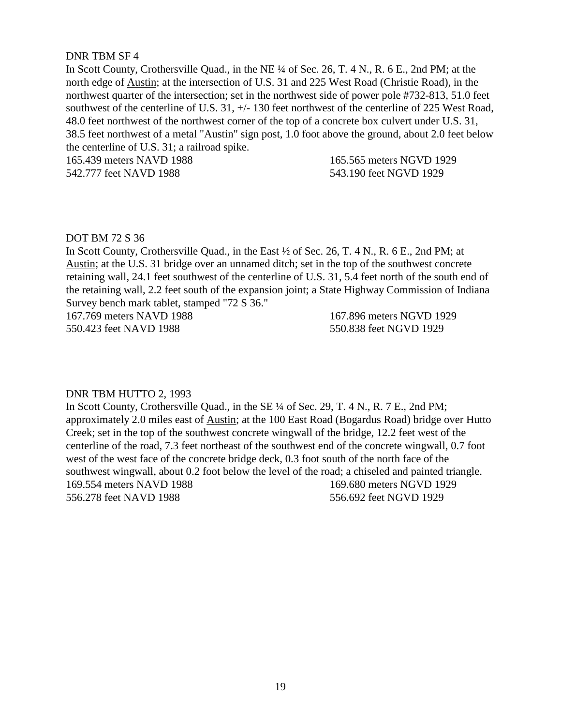## DNR TBM SF 4

In Scott County, Crothersville Quad., in the NE ¼ of Sec. 26, T. 4 N., R. 6 E., 2nd PM; at the north edge of Austin; at the intersection of U.S. 31 and 225 West Road (Christie Road), in the northwest quarter of the intersection; set in the northwest side of power pole #732-813, 51.0 feet southwest of the centerline of U.S. 31, +/- 130 feet northwest of the centerline of 225 West Road, 48.0 feet northwest of the northwest corner of the top of a concrete box culvert under U.S. 31, 38.5 feet northwest of a metal "Austin" sign post, 1.0 foot above the ground, about 2.0 feet below the centerline of U.S. 31; a railroad spike.

165.439 meters NAVD 1988 165.565 meters NGVD 1929 542.777 feet NAVD 1988 543.190 feet NGVD 1929

## DOT BM 72 S 36

In Scott County, Crothersville Quad., in the East ½ of Sec. 26, T. 4 N., R. 6 E., 2nd PM; at Austin; at the U.S. 31 bridge over an unnamed ditch; set in the top of the southwest concrete retaining wall, 24.1 feet southwest of the centerline of U.S. 31, 5.4 feet north of the south end of the retaining wall, 2.2 feet south of the expansion joint; a State Highway Commission of Indiana Survey bench mark tablet, stamped "72 S 36."

167.769 meters NAVD 1988 167.896 meters NGVD 1929 550.423 feet NAVD 1988 550.838 feet NGVD 1929

#### DNR TBM HUTTO 2, 1993

In Scott County, Crothersville Quad., in the SE ¼ of Sec. 29, T. 4 N., R. 7 E., 2nd PM; approximately 2.0 miles east of Austin; at the 100 East Road (Bogardus Road) bridge over Hutto Creek; set in the top of the southwest concrete wingwall of the bridge, 12.2 feet west of the centerline of the road, 7.3 feet northeast of the southwest end of the concrete wingwall, 0.7 foot west of the west face of the concrete bridge deck, 0.3 foot south of the north face of the southwest wingwall, about 0.2 foot below the level of the road; a chiseled and painted triangle. 169.554 meters NAVD 1988 169.680 meters NGVD 1929 556.278 feet NAVD 1988 556.692 feet NGVD 1929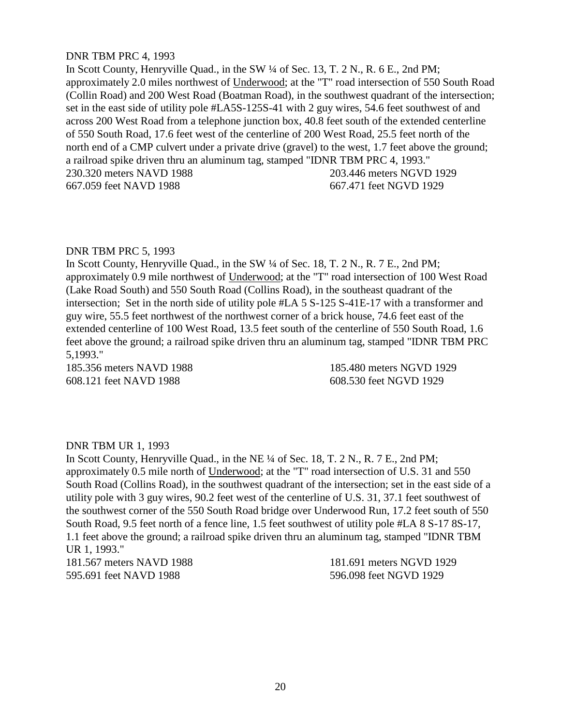## DNR TBM PRC 4, 1993

In Scott County, Henryville Quad., in the SW ¼ of Sec. 13, T. 2 N., R. 6 E., 2nd PM; approximately 2.0 miles northwest of Underwood; at the "T" road intersection of 550 South Road (Collin Road) and 200 West Road (Boatman Road), in the southwest quadrant of the intersection; set in the east side of utility pole #LA5S-125S-41 with 2 guy wires, 54.6 feet southwest of and across 200 West Road from a telephone junction box, 40.8 feet south of the extended centerline of 550 South Road, 17.6 feet west of the centerline of 200 West Road, 25.5 feet north of the north end of a CMP culvert under a private drive (gravel) to the west, 1.7 feet above the ground; a railroad spike driven thru an aluminum tag, stamped "IDNR TBM PRC 4, 1993." 230.320 meters NAVD 1988 203.446 meters NGVD 1929 667.059 feet NAVD 1988 667.471 feet NGVD 1929

## DNR TBM PRC 5, 1993

In Scott County, Henryville Quad., in the SW  $\frac{1}{4}$  of Sec. 18, T. 2 N., R. 7 E., 2nd PM; approximately 0.9 mile northwest of Underwood; at the "T" road intersection of 100 West Road (Lake Road South) and 550 South Road (Collins Road), in the southeast quadrant of the intersection; Set in the north side of utility pole #LA 5 S-125 S-41E-17 with a transformer and guy wire, 55.5 feet northwest of the northwest corner of a brick house, 74.6 feet east of the extended centerline of 100 West Road, 13.5 feet south of the centerline of 550 South Road, 1.6 feet above the ground; a railroad spike driven thru an aluminum tag, stamped "IDNR TBM PRC 5,1993."

608.121 feet NAVD 1988 608.530 feet NGVD 1929

185.356 meters NAVD 1988 185.480 meters NGVD 1929

# DNR TBM UR 1, 1993

In Scott County, Henryville Quad., in the NE ¼ of Sec. 18, T. 2 N., R. 7 E., 2nd PM; approximately 0.5 mile north of Underwood; at the "T" road intersection of U.S. 31 and 550 South Road (Collins Road), in the southwest quadrant of the intersection; set in the east side of a utility pole with 3 guy wires, 90.2 feet west of the centerline of U.S. 31, 37.1 feet southwest of the southwest corner of the 550 South Road bridge over Underwood Run, 17.2 feet south of 550 South Road, 9.5 feet north of a fence line, 1.5 feet southwest of utility pole #LA 8 S-17 8S-17, 1.1 feet above the ground; a railroad spike driven thru an aluminum tag, stamped "IDNR TBM UR 1, 1993."

595.691 feet NAVD 1988 596.098 feet NGVD 1929

181.567 meters NAVD 1988 181.691 meters NGVD 1929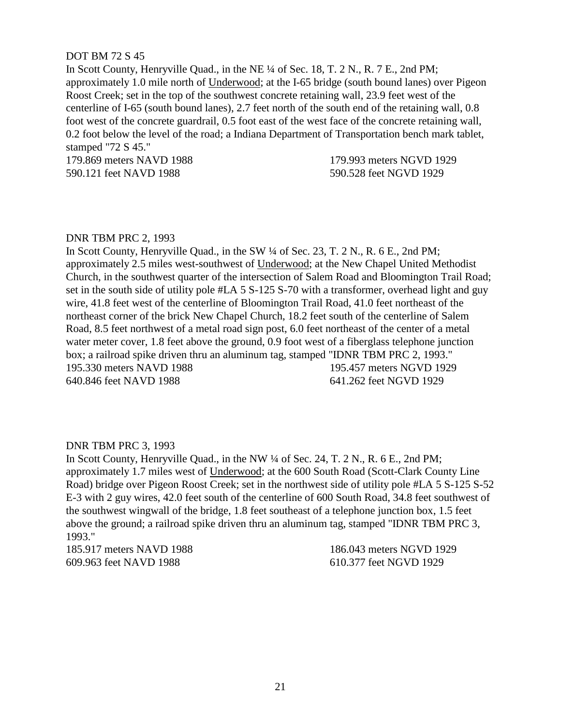## DOT BM 72 S 45

In Scott County, Henryville Quad., in the NE  $\frac{1}{4}$  of Sec. 18, T. 2 N., R. 7 E., 2nd PM; approximately 1.0 mile north of Underwood; at the I-65 bridge (south bound lanes) over Pigeon Roost Creek; set in the top of the southwest concrete retaining wall, 23.9 feet west of the centerline of I-65 (south bound lanes), 2.7 feet north of the south end of the retaining wall, 0.8 foot west of the concrete guardrail, 0.5 foot east of the west face of the concrete retaining wall, 0.2 foot below the level of the road; a Indiana Department of Transportation bench mark tablet, stamped "72 S 45."

179.869 meters NAVD 1988 179.993 meters NGVD 1929 590.121 feet NAVD 1988 590.528 feet NGVD 1929

#### DNR TBM PRC 2, 1993

In Scott County, Henryville Quad., in the SW ¼ of Sec. 23, T. 2 N., R. 6 E., 2nd PM; approximately 2.5 miles west-southwest of Underwood; at the New Chapel United Methodist Church, in the southwest quarter of the intersection of Salem Road and Bloomington Trail Road; set in the south side of utility pole #LA 5 S-125 S-70 with a transformer, overhead light and guy wire, 41.8 feet west of the centerline of Bloomington Trail Road, 41.0 feet northeast of the northeast corner of the brick New Chapel Church, 18.2 feet south of the centerline of Salem Road, 8.5 feet northwest of a metal road sign post, 6.0 feet northeast of the center of a metal water meter cover, 1.8 feet above the ground, 0.9 foot west of a fiberglass telephone junction box; a railroad spike driven thru an aluminum tag, stamped "IDNR TBM PRC 2, 1993." 195.330 meters NAVD 1988 195.457 meters NGVD 1929 640.846 feet NAVD 1988 641.262 feet NGVD 1929

# DNR TBM PRC 3, 1993

In Scott County, Henryville Quad., in the NW ¼ of Sec. 24, T. 2 N., R. 6 E., 2nd PM; approximately 1.7 miles west of Underwood; at the 600 South Road (Scott-Clark County Line Road) bridge over Pigeon Roost Creek; set in the northwest side of utility pole #LA 5 S-125 S-52 E-3 with 2 guy wires, 42.0 feet south of the centerline of 600 South Road, 34.8 feet southwest of the southwest wingwall of the bridge, 1.8 feet southeast of a telephone junction box, 1.5 feet above the ground; a railroad spike driven thru an aluminum tag, stamped "IDNR TBM PRC 3, 1993."

185.917 meters NAVD 1988 186.043 meters NGVD 1929 609.963 feet NAVD 1988 610.377 feet NGVD 1929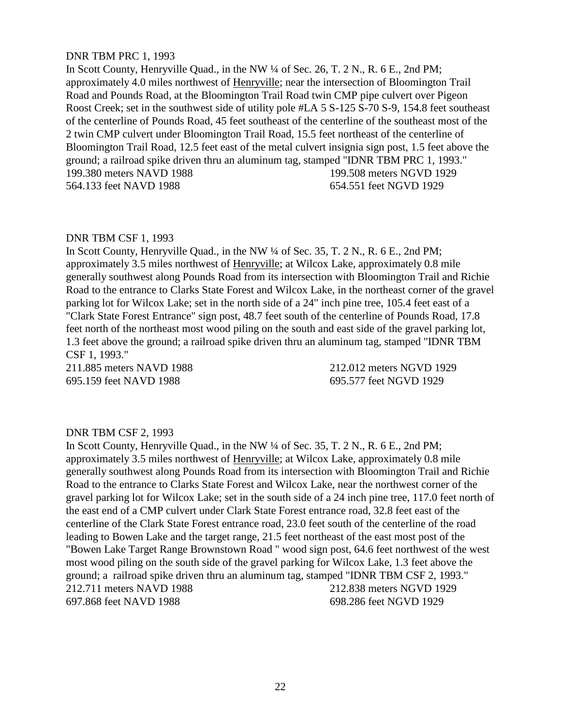## DNR TBM PRC 1, 1993

In Scott County, Henryville Quad., in the NW ¼ of Sec. 26, T. 2 N., R. 6 E., 2nd PM; approximately 4.0 miles northwest of Henryville; near the intersection of Bloomington Trail Road and Pounds Road, at the Bloomington Trail Road twin CMP pipe culvert over Pigeon Roost Creek; set in the southwest side of utility pole #LA 5 S-125 S-70 S-9, 154.8 feet southeast of the centerline of Pounds Road, 45 feet southeast of the centerline of the southeast most of the 2 twin CMP culvert under Bloomington Trail Road, 15.5 feet northeast of the centerline of Bloomington Trail Road, 12.5 feet east of the metal culvert insignia sign post, 1.5 feet above the ground; a railroad spike driven thru an aluminum tag, stamped "IDNR TBM PRC 1, 1993." 199.380 meters NAVD 1988 199.508 meters NGVD 1929 564.133 feet NAVD 1988 654.551 feet NGVD 1929

#### DNR TBM CSF 1, 1993

In Scott County, Henryville Quad., in the NW ¼ of Sec. 35, T. 2 N., R. 6 E., 2nd PM; approximately 3.5 miles northwest of Henryville; at Wilcox Lake, approximately 0.8 mile generally southwest along Pounds Road from its intersection with Bloomington Trail and Richie Road to the entrance to Clarks State Forest and Wilcox Lake, in the northeast corner of the gravel parking lot for Wilcox Lake; set in the north side of a 24" inch pine tree, 105.4 feet east of a "Clark State Forest Entrance" sign post, 48.7 feet south of the centerline of Pounds Road, 17.8 feet north of the northeast most wood piling on the south and east side of the gravel parking lot, 1.3 feet above the ground; a railroad spike driven thru an aluminum tag, stamped "IDNR TBM CSF 1, 1993."

695.159 feet NAVD 1988 695.577 feet NGVD 1929

211.885 meters NAVD 1988 212.012 meters NGVD 1929

#### DNR TBM CSF 2, 1993

In Scott County, Henryville Quad., in the NW ¼ of Sec. 35, T. 2 N., R. 6 E., 2nd PM; approximately 3.5 miles northwest of Henryville; at Wilcox Lake, approximately 0.8 mile generally southwest along Pounds Road from its intersection with Bloomington Trail and Richie Road to the entrance to Clarks State Forest and Wilcox Lake, near the northwest corner of the gravel parking lot for Wilcox Lake; set in the south side of a 24 inch pine tree, 117.0 feet north of the east end of a CMP culvert under Clark State Forest entrance road, 32.8 feet east of the centerline of the Clark State Forest entrance road, 23.0 feet south of the centerline of the road leading to Bowen Lake and the target range, 21.5 feet northeast of the east most post of the "Bowen Lake Target Range Brownstown Road " wood sign post, 64.6 feet northwest of the west most wood piling on the south side of the gravel parking for Wilcox Lake, 1.3 feet above the ground; a railroad spike driven thru an aluminum tag, stamped "IDNR TBM CSF 2, 1993." 212.711 meters NAVD 1988 212.838 meters NGVD 1929 697.868 feet NAVD 1988 698.286 feet NGVD 1929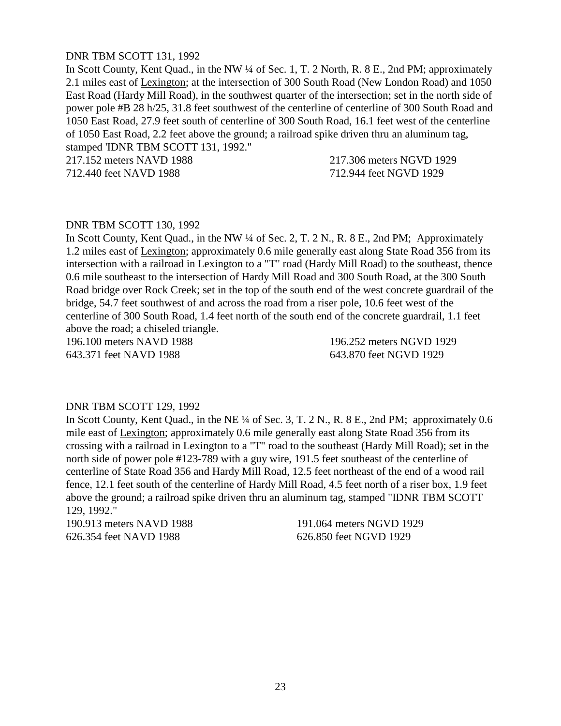# DNR TBM SCOTT 131, 1992

In Scott County, Kent Quad., in the NW ¼ of Sec. 1, T. 2 North, R. 8 E., 2nd PM; approximately 2.1 miles east of Lexington; at the intersection of 300 South Road (New London Road) and 1050 East Road (Hardy Mill Road), in the southwest quarter of the intersection; set in the north side of power pole #B 28 h/25, 31.8 feet southwest of the centerline of centerline of 300 South Road and 1050 East Road, 27.9 feet south of centerline of 300 South Road, 16.1 feet west of the centerline of 1050 East Road, 2.2 feet above the ground; a railroad spike driven thru an aluminum tag, stamped 'IDNR TBM SCOTT 131, 1992."

217.152 meters NAVD 1988 217.306 meters NGVD 1929

712.440 feet NAVD 1988 712.944 feet NGVD 1929

#### DNR TBM SCOTT 130, 1992

In Scott County, Kent Quad., in the NW ¼ of Sec. 2, T. 2 N., R. 8 E., 2nd PM; Approximately 1.2 miles east of Lexington; approximately 0.6 mile generally east along State Road 356 from its intersection with a railroad in Lexington to a "T" road (Hardy Mill Road) to the southeast, thence 0.6 mile southeast to the intersection of Hardy Mill Road and 300 South Road, at the 300 South Road bridge over Rock Creek; set in the top of the south end of the west concrete guardrail of the bridge, 54.7 feet southwest of and across the road from a riser pole, 10.6 feet west of the centerline of 300 South Road, 1.4 feet north of the south end of the concrete guardrail, 1.1 feet above the road; a chiseled triangle.

196.100 meters NAVD 1988 196.252 meters NGVD 1929 643.371 feet NAVD 1988 643.870 feet NGVD 1929

#### DNR TBM SCOTT 129, 1992

In Scott County, Kent Quad., in the NE ¼ of Sec. 3, T. 2 N., R. 8 E., 2nd PM; approximately 0.6 mile east of Lexington; approximately 0.6 mile generally east along State Road 356 from its crossing with a railroad in Lexington to a "T" road to the southeast (Hardy Mill Road); set in the north side of power pole #123-789 with a guy wire, 191.5 feet southeast of the centerline of centerline of State Road 356 and Hardy Mill Road, 12.5 feet northeast of the end of a wood rail fence, 12.1 feet south of the centerline of Hardy Mill Road, 4.5 feet north of a riser box, 1.9 feet above the ground; a railroad spike driven thru an aluminum tag, stamped "IDNR TBM SCOTT 129, 1992."

626.354 feet NAVD 1988 626.850 feet NGVD 1929

190.913 meters NAVD 1988 191.064 meters NGVD 1929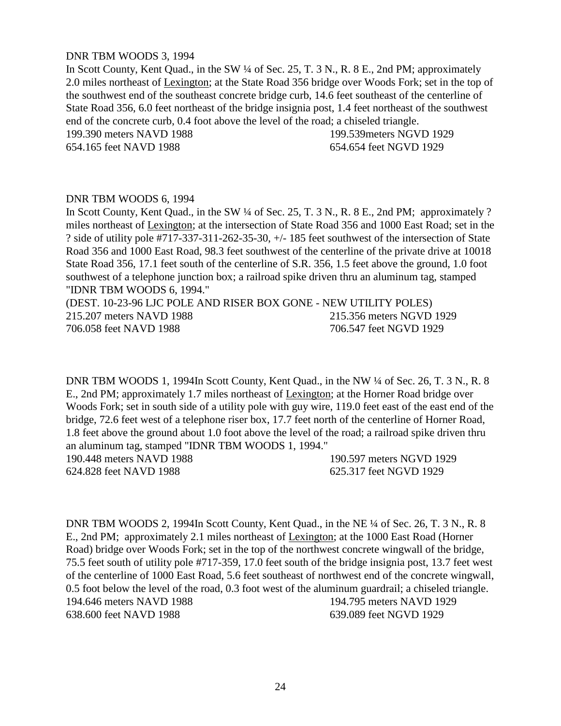## DNR TBM WOODS 3, 1994

In Scott County, Kent Quad., in the SW ¼ of Sec. 25, T. 3 N., R. 8 E., 2nd PM; approximately 2.0 miles northeast of Lexington; at the State Road 356 bridge over Woods Fork; set in the top of the southwest end of the southeast concrete bridge curb, 14.6 feet southeast of the centerline of State Road 356, 6.0 feet northeast of the bridge insignia post, 1.4 feet northeast of the southwest end of the concrete curb, 0.4 foot above the level of the road; a chiseled triangle. 199.390 meters NAVD 1988 199.539meters NGVD 1929

654.165 feet NAVD 1988 654.654 feet NGVD 1929

## DNR TBM WOODS 6, 1994

In Scott County, Kent Quad., in the SW ¼ of Sec. 25, T. 3 N., R. 8 E., 2nd PM; approximately ? miles northeast of Lexington; at the intersection of State Road 356 and 1000 East Road; set in the ? side of utility pole #717-337-311-262-35-30, +/- 185 feet southwest of the intersection of State Road 356 and 1000 East Road, 98.3 feet southwest of the centerline of the private drive at 10018 State Road 356, 17.1 feet south of the centerline of S.R. 356, 1.5 feet above the ground, 1.0 foot southwest of a telephone junction box; a railroad spike driven thru an aluminum tag, stamped "IDNR TBM WOODS 6, 1994."

(DEST. 10-23-96 LJC POLE AND RISER BOX GONE - NEW UTILITY POLES) 215.207 meters NAVD 1988 215.356 meters NGVD 1929 706.058 feet NAVD 1988 706.547 feet NGVD 1929

DNR TBM WOODS 1, 1994In Scott County, Kent Quad., in the NW ¼ of Sec. 26, T. 3 N., R. 8 E., 2nd PM; approximately 1.7 miles northeast of Lexington; at the Horner Road bridge over Woods Fork; set in south side of a utility pole with guy wire, 119.0 feet east of the east end of the bridge, 72.6 feet west of a telephone riser box, 17.7 feet north of the centerline of Horner Road, 1.8 feet above the ground about 1.0 foot above the level of the road; a railroad spike driven thru an aluminum tag, stamped "IDNR TBM WOODS 1, 1994." 190.448 meters NAVD 1988 190.597 meters NGVD 1929 624.828 feet NAVD 1988 625.317 feet NGVD 1929

DNR TBM WOODS 2, 1994In Scott County, Kent Quad., in the NE ¼ of Sec. 26, T. 3 N., R. 8 E., 2nd PM; approximately 2.1 miles northeast of Lexington; at the 1000 East Road (Horner Road) bridge over Woods Fork; set in the top of the northwest concrete wingwall of the bridge, 75.5 feet south of utility pole #717-359, 17.0 feet south of the bridge insignia post, 13.7 feet west of the centerline of 1000 East Road, 5.6 feet southeast of northwest end of the concrete wingwall, 0.5 foot below the level of the road, 0.3 foot west of the aluminum guardrail; a chiseled triangle. 194.646 meters NAVD 1988 194.795 meters NAVD 1929 638.600 feet NAVD 1988 639.089 feet NGVD 1929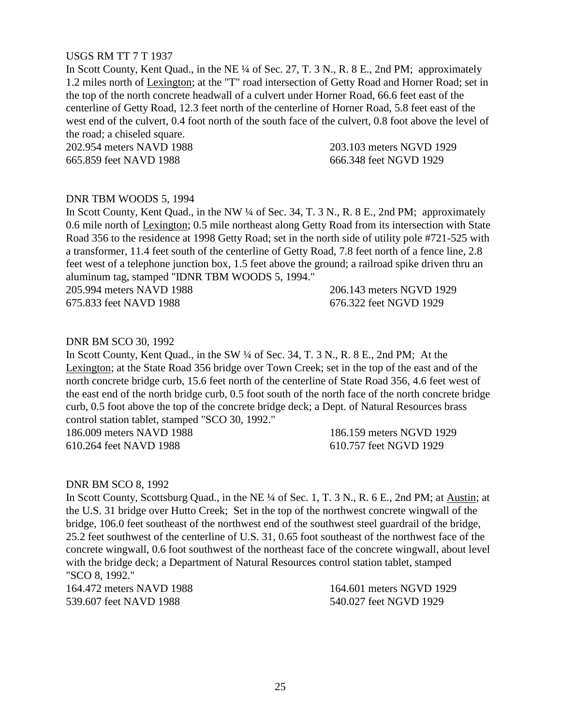# USGS RM TT 7 T 1937

In Scott County, Kent Quad., in the NE ¼ of Sec. 27, T. 3 N., R. 8 E., 2nd PM; approximately 1.2 miles north of Lexington; at the "T" road intersection of Getty Road and Horner Road; set in the top of the north concrete headwall of a culvert under Horner Road, 66.6 feet east of the centerline of Getty Road, 12.3 feet north of the centerline of Horner Road, 5.8 feet east of the west end of the culvert, 0.4 foot north of the south face of the culvert, 0.8 foot above the level of the road; a chiseled square.

202.954 meters NAVD 1988 203.103 meters NGVD 1929 665.859 feet NAVD 1988 666.348 feet NGVD 1929

## DNR TBM WOODS 5, 1994

In Scott County, Kent Quad., in the NW ¼ of Sec. 34, T. 3 N., R. 8 E., 2nd PM; approximately 0.6 mile north of Lexington; 0.5 mile northeast along Getty Road from its intersection with State Road 356 to the residence at 1998 Getty Road; set in the north side of utility pole #721-525 with a transformer, 11.4 feet south of the centerline of Getty Road, 7.8 feet north of a fence line, 2.8 feet west of a telephone junction box, 1.5 feet above the ground; a railroad spike driven thru an aluminum tag, stamped "IDNR TBM WOODS 5, 1994."

205.994 meters NAVD 1988 206.143 meters NGVD 1929

675.833 feet NAVD 1988 676.322 feet NGVD 1929

## DNR BM SCO 30, 1992

In Scott County, Kent Quad., in the SW  $\frac{1}{4}$  of Sec. 34, T. 3 N., R. 8 E., 2nd PM; At the Lexington; at the State Road 356 bridge over Town Creek; set in the top of the east and of the north concrete bridge curb, 15.6 feet north of the centerline of State Road 356, 4.6 feet west of the east end of the north bridge curb, 0.5 foot south of the north face of the north concrete bridge curb, 0.5 foot above the top of the concrete bridge deck; a Dept. of Natural Resources brass control station tablet, stamped "SCO 30, 1992."

610.264 feet NAVD 1988 610.757 feet NGVD 1929

186.009 meters NAVD 1988 186.159 meters NGVD 1929

#### DNR BM SCO 8, 1992

In Scott County, Scottsburg Quad., in the NE ¼ of Sec. 1, T. 3 N., R. 6 E., 2nd PM; at Austin; at the U.S. 31 bridge over Hutto Creek; Set in the top of the northwest concrete wingwall of the bridge, 106.0 feet southeast of the northwest end of the southwest steel guardrail of the bridge, 25.2 feet southwest of the centerline of U.S. 31, 0.65 foot southeast of the northwest face of the concrete wingwall, 0.6 foot southwest of the northeast face of the concrete wingwall, about level with the bridge deck; a Department of Natural Resources control station tablet, stamped "SCO 8, 1992."

539.607 feet NAVD 1988 540.027 feet NGVD 1929

164.472 meters NAVD 1988 164.601 meters NGVD 1929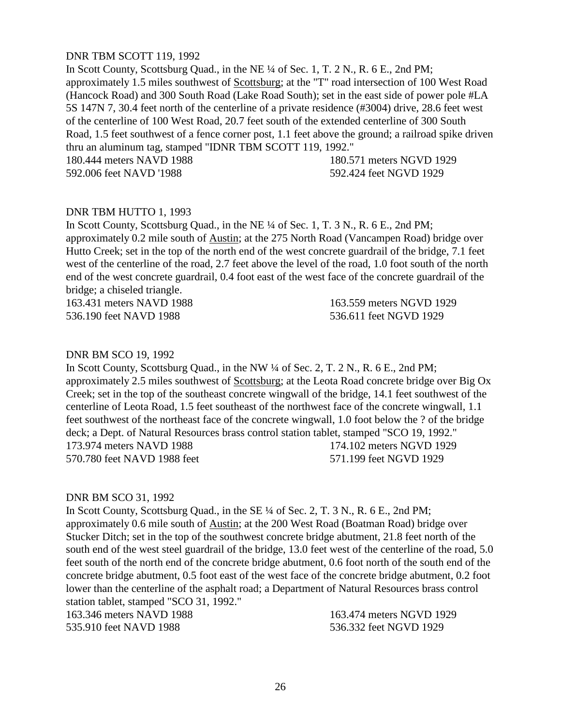# DNR TBM SCOTT 119, 1992

In Scott County, Scottsburg Quad., in the NE ¼ of Sec. 1, T. 2 N., R. 6 E., 2nd PM; approximately 1.5 miles southwest of Scottsburg; at the "T" road intersection of 100 West Road (Hancock Road) and 300 South Road (Lake Road South); set in the east side of power pole #LA 5S 147N 7, 30.4 feet north of the centerline of a private residence (#3004) drive, 28.6 feet west of the centerline of 100 West Road, 20.7 feet south of the extended centerline of 300 South Road, 1.5 feet southwest of a fence corner post, 1.1 feet above the ground; a railroad spike driven thru an aluminum tag, stamped "IDNR TBM SCOTT 119, 1992."

180.444 meters NAVD 1988 180.571 meters NGVD 1929

592.006 feet NAVD '1988 592.424 feet NGVD 1929

# DNR TBM HUTTO 1, 1993

In Scott County, Scottsburg Quad., in the NE ¼ of Sec. 1, T. 3 N., R. 6 E., 2nd PM; approximately 0.2 mile south of Austin; at the 275 North Road (Vancampen Road) bridge over Hutto Creek; set in the top of the north end of the west concrete guardrail of the bridge, 7.1 feet west of the centerline of the road, 2.7 feet above the level of the road, 1.0 foot south of the north end of the west concrete guardrail, 0.4 foot east of the west face of the concrete guardrail of the bridge; a chiseled triangle.

163.431 meters NAVD 1988 163.559 meters NGVD 1929 536.190 feet NAVD 1988 536.611 feet NGVD 1929

## DNR BM SCO 19, 1992

In Scott County, Scottsburg Quad., in the NW ¼ of Sec. 2, T. 2 N., R. 6 E., 2nd PM; approximately 2.5 miles southwest of Scottsburg; at the Leota Road concrete bridge over Big Ox Creek; set in the top of the southeast concrete wingwall of the bridge, 14.1 feet southwest of the centerline of Leota Road, 1.5 feet southeast of the northwest face of the concrete wingwall, 1.1 feet southwest of the northeast face of the concrete wingwall, 1.0 foot below the ? of the bridge deck; a Dept. of Natural Resources brass control station tablet, stamped "SCO 19, 1992." 173.974 meters NAVD 1988 174.102 meters NGVD 1929 570.780 feet NAVD 1988 feet 571.199 feet NGVD 1929

#### DNR BM SCO 31, 1992

In Scott County, Scottsburg Quad., in the SE ¼ of Sec. 2, T. 3 N., R. 6 E., 2nd PM; approximately 0.6 mile south of Austin; at the 200 West Road (Boatman Road) bridge over Stucker Ditch; set in the top of the southwest concrete bridge abutment, 21.8 feet north of the south end of the west steel guardrail of the bridge, 13.0 feet west of the centerline of the road, 5.0 feet south of the north end of the concrete bridge abutment, 0.6 foot north of the south end of the concrete bridge abutment, 0.5 foot east of the west face of the concrete bridge abutment, 0.2 foot lower than the centerline of the asphalt road; a Department of Natural Resources brass control station tablet, stamped "SCO 31, 1992."

535.910 feet NAVD 1988 536.332 feet NGVD 1929

163.346 meters NAVD 1988 163.474 meters NGVD 1929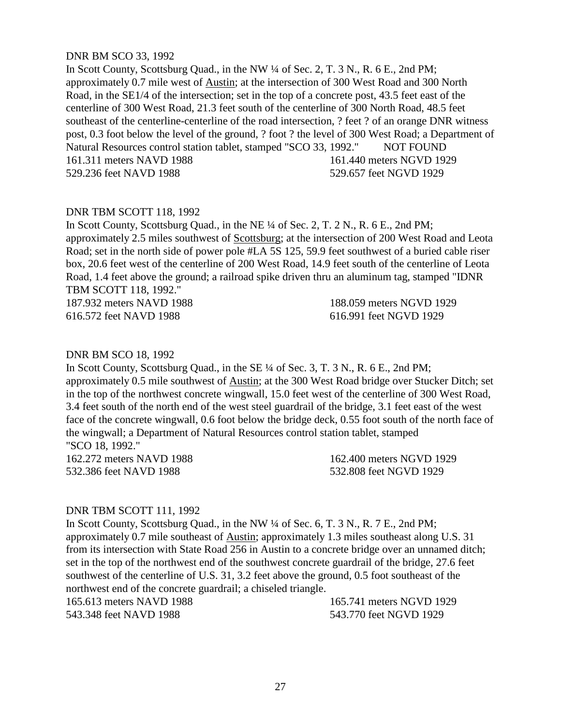# DNR BM SCO 33, 1992

In Scott County, Scottsburg Quad., in the NW ¼ of Sec. 2, T. 3 N., R. 6 E., 2nd PM; approximately 0.7 mile west of Austin; at the intersection of 300 West Road and 300 North Road, in the SE1/4 of the intersection; set in the top of a concrete post, 43.5 feet east of the centerline of 300 West Road, 21.3 feet south of the centerline of 300 North Road, 48.5 feet southeast of the centerline-centerline of the road intersection, ? feet ? of an orange DNR witness post, 0.3 foot below the level of the ground, ? foot ? the level of 300 West Road; a Department of Natural Resources control station tablet, stamped "SCO 33, 1992." NOT FOUND 161.311 meters NAVD 1988 161.440 meters NGVD 1929 529.236 feet NAVD 1988 529.657 feet NGVD 1929

# DNR TBM SCOTT 118, 1992

In Scott County, Scottsburg Quad., in the NE ¼ of Sec. 2, T. 2 N., R. 6 E., 2nd PM; approximately 2.5 miles southwest of Scottsburg; at the intersection of 200 West Road and Leota Road; set in the north side of power pole #LA 5S 125, 59.9 feet southwest of a buried cable riser box, 20.6 feet west of the centerline of 200 West Road, 14.9 feet south of the centerline of Leota Road, 1.4 feet above the ground; a railroad spike driven thru an aluminum tag, stamped "IDNR TBM SCOTT 118, 1992."

187.932 meters NAVD 1988 188.059 meters NGVD 1929 616.572 feet NAVD 1988 616.991 feet NGVD 1929

#### DNR BM SCO 18, 1992

In Scott County, Scottsburg Quad., in the SE ¼ of Sec. 3, T. 3 N., R. 6 E., 2nd PM; approximately 0.5 mile southwest of Austin; at the 300 West Road bridge over Stucker Ditch; set in the top of the northwest concrete wingwall, 15.0 feet west of the centerline of 300 West Road, 3.4 feet south of the north end of the west steel guardrail of the bridge, 3.1 feet east of the west face of the concrete wingwall, 0.6 foot below the bridge deck, 0.55 foot south of the north face of the wingwall; a Department of Natural Resources control station tablet, stamped "SCO 18, 1992." 162.272 meters NAVD 1988 162.400 meters NGVD 1929

532.386 feet NAVD 1988 532.808 feet NGVD 1929

#### DNR TBM SCOTT 111, 1992

In Scott County, Scottsburg Quad., in the NW ¼ of Sec. 6, T. 3 N., R. 7 E., 2nd PM; approximately 0.7 mile southeast of Austin; approximately 1.3 miles southeast along U.S. 31 from its intersection with State Road 256 in Austin to a concrete bridge over an unnamed ditch; set in the top of the northwest end of the southwest concrete guardrail of the bridge, 27.6 feet southwest of the centerline of U.S. 31, 3.2 feet above the ground, 0.5 foot southeast of the northwest end of the concrete guardrail; a chiseled triangle.

165.613 meters NAVD 1988 165.741 meters NGVD 1929 543.348 feet NAVD 1988 543.770 feet NGVD 1929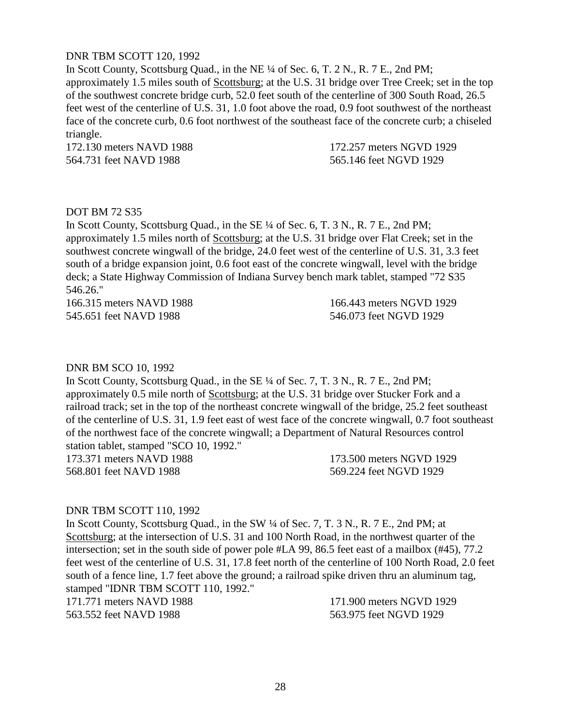# DNR TBM SCOTT 120, 1992

In Scott County, Scottsburg Quad., in the NE ¼ of Sec. 6, T. 2 N., R. 7 E., 2nd PM; approximately 1.5 miles south of Scottsburg; at the U.S. 31 bridge over Tree Creek; set in the top of the southwest concrete bridge curb, 52.0 feet south of the centerline of 300 South Road, 26.5 feet west of the centerline of U.S. 31, 1.0 foot above the road, 0.9 foot southwest of the northeast face of the concrete curb, 0.6 foot northwest of the southeast face of the concrete curb; a chiseled triangle.

564.731 feet NAVD 1988 565.146 feet NGVD 1929

172.130 meters NAVD 1988 172.257 meters NGVD 1929

# DOT BM 72 S35

In Scott County, Scottsburg Quad., in the SE ¼ of Sec. 6, T. 3 N., R. 7 E., 2nd PM; approximately 1.5 miles north of Scottsburg; at the U.S. 31 bridge over Flat Creek; set in the southwest concrete wingwall of the bridge, 24.0 feet west of the centerline of U.S. 31, 3.3 feet south of a bridge expansion joint, 0.6 foot east of the concrete wingwall, level with the bridge deck; a State Highway Commission of Indiana Survey bench mark tablet, stamped "72 S35 546.26."

166.315 meters NAVD 1988 166.443 meters NGVD 1929 545.651 feet NAVD 1988 546.073 feet NGVD 1929

## DNR BM SCO 10, 1992

In Scott County, Scottsburg Quad., in the SE ¼ of Sec. 7, T. 3 N., R. 7 E., 2nd PM; approximately 0.5 mile north of Scottsburg; at the U.S. 31 bridge over Stucker Fork and a railroad track; set in the top of the northeast concrete wingwall of the bridge, 25.2 feet southeast of the centerline of U.S. 31, 1.9 feet east of west face of the concrete wingwall, 0.7 foot southeast of the northwest face of the concrete wingwall; a Department of Natural Resources control station tablet, stamped "SCO 10, 1992."

568.801 feet NAVD 1988 569.224 feet NGVD 1929

173.371 meters NAVD 1988 173.500 meters NGVD 1929

#### DNR TBM SCOTT 110, 1992

In Scott County, Scottsburg Quad., in the SW ¼ of Sec. 7, T. 3 N., R. 7 E., 2nd PM; at Scottsburg; at the intersection of U.S. 31 and 100 North Road, in the northwest quarter of the intersection; set in the south side of power pole #LA 99, 86.5 feet east of a mailbox (#45), 77.2 feet west of the centerline of U.S. 31, 17.8 feet north of the centerline of 100 North Road, 2.0 feet south of a fence line, 1.7 feet above the ground; a railroad spike driven thru an aluminum tag, stamped "IDNR TBM SCOTT 110, 1992."

171.771 meters NAVD 1988 171.900 meters NGVD 1929

563.552 feet NAVD 1988 563.975 feet NGVD 1929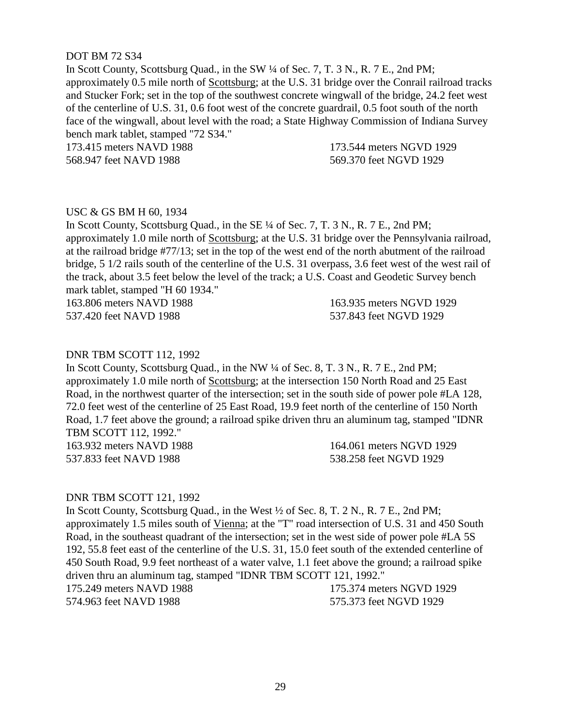# DOT BM 72 S34

In Scott County, Scottsburg Quad., in the SW ¼ of Sec. 7, T. 3 N., R. 7 E., 2nd PM; approximately 0.5 mile north of Scottsburg; at the U.S. 31 bridge over the Conrail railroad tracks and Stucker Fork; set in the top of the southwest concrete wingwall of the bridge, 24.2 feet west of the centerline of U.S. 31, 0.6 foot west of the concrete guardrail, 0.5 foot south of the north face of the wingwall, about level with the road; a State Highway Commission of Indiana Survey bench mark tablet, stamped "72 S34."

173.415 meters NAVD 1988 173.544 meters NGVD 1929 568.947 feet NAVD 1988 569.370 feet NGVD 1929

# USC & GS BM H 60, 1934

In Scott County, Scottsburg Quad., in the SE ¼ of Sec. 7, T. 3 N., R. 7 E., 2nd PM; approximately 1.0 mile north of Scottsburg; at the U.S. 31 bridge over the Pennsylvania railroad, at the railroad bridge #77/13; set in the top of the west end of the north abutment of the railroad bridge, 5 1/2 rails south of the centerline of the U.S. 31 overpass, 3.6 feet west of the west rail of the track, about 3.5 feet below the level of the track; a U.S. Coast and Geodetic Survey bench mark tablet, stamped "H 60 1934."

537.420 feet NAVD 1988 537.843 feet NGVD 1929

163.806 meters NAVD 1988 163.935 meters NGVD 1929

## DNR TBM SCOTT 112, 1992

In Scott County, Scottsburg Quad., in the NW ¼ of Sec. 8, T. 3 N., R. 7 E., 2nd PM; approximately 1.0 mile north of Scottsburg; at the intersection 150 North Road and 25 East Road, in the northwest quarter of the intersection; set in the south side of power pole #LA 128, 72.0 feet west of the centerline of 25 East Road, 19.9 feet north of the centerline of 150 North Road, 1.7 feet above the ground; a railroad spike driven thru an aluminum tag, stamped "IDNR TBM SCOTT 112, 1992."

163.932 meters NAVD 1988 164.061 meters NGVD 1929 537.833 feet NAVD 1988 538.258 feet NGVD 1929

#### DNR TBM SCOTT 121, 1992

In Scott County, Scottsburg Quad., in the West ½ of Sec. 8, T. 2 N., R. 7 E., 2nd PM; approximately 1.5 miles south of Vienna; at the "T" road intersection of U.S. 31 and 450 South Road, in the southeast quadrant of the intersection; set in the west side of power pole #LA 5S 192, 55.8 feet east of the centerline of the U.S. 31, 15.0 feet south of the extended centerline of 450 South Road, 9.9 feet northeast of a water valve, 1.1 feet above the ground; a railroad spike driven thru an aluminum tag, stamped "IDNR TBM SCOTT 121, 1992." 175.249 meters NAVD 1988 175.374 meters NGVD 1929 574.963 feet NAVD 1988 575.373 feet NGVD 1929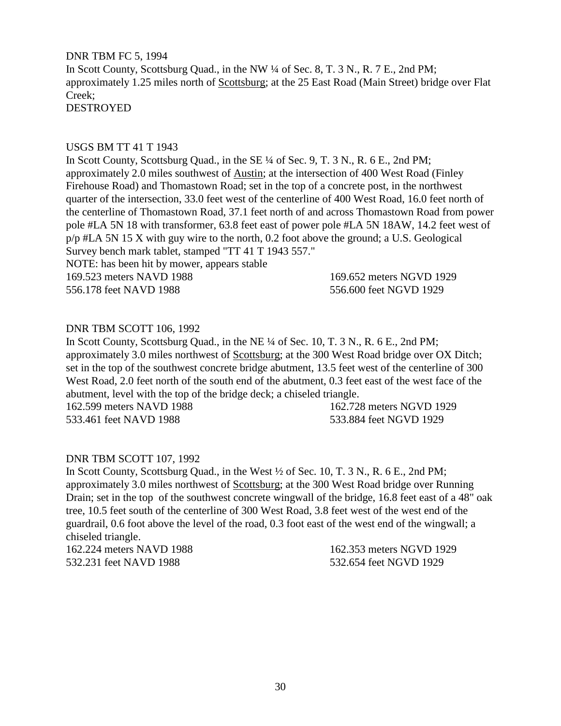DNR TBM FC 5, 1994 In Scott County, Scottsburg Quad., in the NW ¼ of Sec. 8, T. 3 N., R. 7 E., 2nd PM; approximately 1.25 miles north of Scottsburg; at the 25 East Road (Main Street) bridge over Flat Creek; DESTROYED

## USGS BM TT 41 T 1943

In Scott County, Scottsburg Quad., in the SE ¼ of Sec. 9, T. 3 N., R. 6 E., 2nd PM; approximately 2.0 miles southwest of Austin; at the intersection of 400 West Road (Finley Firehouse Road) and Thomastown Road; set in the top of a concrete post, in the northwest quarter of the intersection, 33.0 feet west of the centerline of 400 West Road, 16.0 feet north of the centerline of Thomastown Road, 37.1 feet north of and across Thomastown Road from power pole #LA 5N 18 with transformer, 63.8 feet east of power pole #LA 5N 18AW, 14.2 feet west of p/p #LA 5N 15 X with guy wire to the north, 0.2 foot above the ground; a U.S. Geological Survey bench mark tablet, stamped "TT 41 T 1943 557."

NOTE: has been hit by mower, appears stable

169.523 meters NAVD 1988 169.652 meters NGVD 1929 556.178 feet NAVD 1988 556.600 feet NGVD 1929

# DNR TBM SCOTT 106, 1992

In Scott County, Scottsburg Quad., in the NE ¼ of Sec. 10, T. 3 N., R. 6 E., 2nd PM; approximately 3.0 miles northwest of Scottsburg; at the 300 West Road bridge over OX Ditch; set in the top of the southwest concrete bridge abutment, 13.5 feet west of the centerline of 300 West Road, 2.0 feet north of the south end of the abutment, 0.3 feet east of the west face of the abutment, level with the top of the bridge deck; a chiseled triangle.

533.461 feet NAVD 1988 533.884 feet NGVD 1929

162.599 meters NAVD 1988 162.728 meters NGVD 1929

# DNR TBM SCOTT 107, 1992

In Scott County, Scottsburg Quad., in the West ½ of Sec. 10, T. 3 N., R. 6 E., 2nd PM; approximately 3.0 miles northwest of Scottsburg; at the 300 West Road bridge over Running Drain; set in the top of the southwest concrete wingwall of the bridge, 16.8 feet east of a 48" oak tree, 10.5 feet south of the centerline of 300 West Road, 3.8 feet west of the west end of the guardrail, 0.6 foot above the level of the road, 0.3 foot east of the west end of the wingwall; a chiseled triangle.

162.224 meters NAVD 1988 162.353 meters NGVD 1929 532.231 feet NAVD 1988 532.654 feet NGVD 1929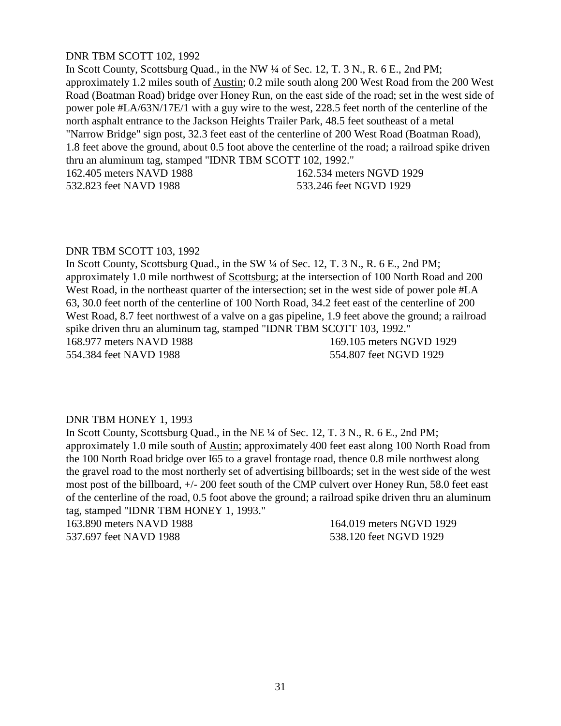# DNR TBM SCOTT 102, 1992

In Scott County, Scottsburg Quad., in the NW ¼ of Sec. 12, T. 3 N., R. 6 E., 2nd PM; approximately 1.2 miles south of Austin; 0.2 mile south along 200 West Road from the 200 West Road (Boatman Road) bridge over Honey Run, on the east side of the road; set in the west side of power pole #LA/63N/17E/1 with a guy wire to the west, 228.5 feet north of the centerline of the north asphalt entrance to the Jackson Heights Trailer Park, 48.5 feet southeast of a metal "Narrow Bridge" sign post, 32.3 feet east of the centerline of 200 West Road (Boatman Road), 1.8 feet above the ground, about 0.5 foot above the centerline of the road; a railroad spike driven thru an aluminum tag, stamped "IDNR TBM SCOTT 102, 1992."

162.405 meters NAVD 1988 162.534 meters NGVD 1929 532.823 feet NAVD 1988 533.246 feet NGVD 1929

## DNR TBM SCOTT 103, 1992

In Scott County, Scottsburg Quad., in the SW ¼ of Sec. 12, T. 3 N., R. 6 E., 2nd PM; approximately 1.0 mile northwest of Scottsburg; at the intersection of 100 North Road and 200 West Road, in the northeast quarter of the intersection; set in the west side of power pole #LA 63, 30.0 feet north of the centerline of 100 North Road, 34.2 feet east of the centerline of 200 West Road, 8.7 feet northwest of a valve on a gas pipeline, 1.9 feet above the ground; a railroad spike driven thru an aluminum tag, stamped "IDNR TBM SCOTT 103, 1992." 168.977 meters NAVD 1988 169.105 meters NGVD 1929 554.384 feet NAVD 1988 554.807 feet NGVD 1929

#### DNR TBM HONEY 1, 1993

In Scott County, Scottsburg Quad., in the NE ¼ of Sec. 12, T. 3 N., R. 6 E., 2nd PM; approximately 1.0 mile south of Austin; approximately 400 feet east along 100 North Road from the 100 North Road bridge over I65 to a gravel frontage road, thence 0.8 mile northwest along the gravel road to the most northerly set of advertising billboards; set in the west side of the west most post of the billboard, +/- 200 feet south of the CMP culvert over Honey Run, 58.0 feet east of the centerline of the road, 0.5 foot above the ground; a railroad spike driven thru an aluminum tag, stamped "IDNR TBM HONEY 1, 1993."

163.890 meters NAVD 1988 164.019 meters NGVD 1929

537.697 feet NAVD 1988 538.120 feet NGVD 1929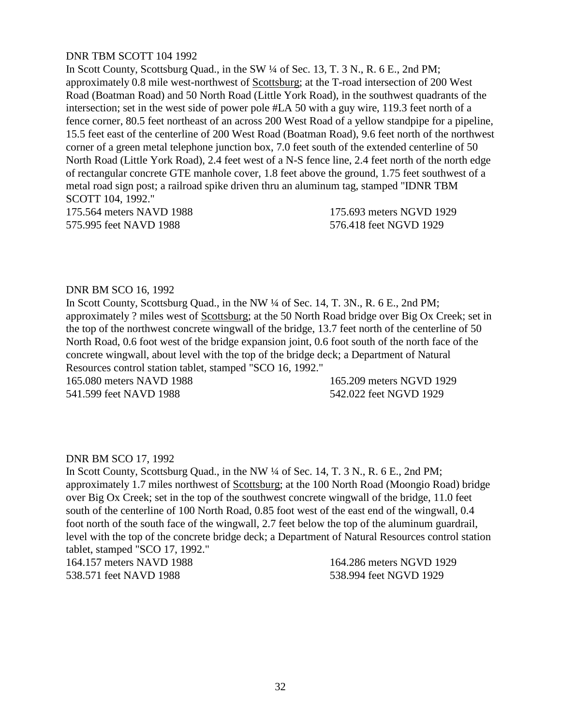# DNR TBM SCOTT 104 1992

In Scott County, Scottsburg Quad., in the SW ¼ of Sec. 13, T. 3 N., R. 6 E., 2nd PM; approximately 0.8 mile west-northwest of Scottsburg; at the T-road intersection of 200 West Road (Boatman Road) and 50 North Road (Little York Road), in the southwest quadrants of the intersection; set in the west side of power pole #LA 50 with a guy wire, 119.3 feet north of a fence corner, 80.5 feet northeast of an across 200 West Road of a yellow standpipe for a pipeline, 15.5 feet east of the centerline of 200 West Road (Boatman Road), 9.6 feet north of the northwest corner of a green metal telephone junction box, 7.0 feet south of the extended centerline of 50 North Road (Little York Road), 2.4 feet west of a N-S fence line, 2.4 feet north of the north edge of rectangular concrete GTE manhole cover, 1.8 feet above the ground, 1.75 feet southwest of a metal road sign post; a railroad spike driven thru an aluminum tag, stamped "IDNR TBM SCOTT 104, 1992."

575.995 feet NAVD 1988 576.418 feet NGVD 1929

175.564 meters NAVD 1988 175.693 meters NGVD 1929

## DNR BM SCO 16, 1992

In Scott County, Scottsburg Quad., in the NW ¼ of Sec. 14, T. 3N., R. 6 E., 2nd PM; approximately ? miles west of Scottsburg; at the 50 North Road bridge over Big Ox Creek; set in the top of the northwest concrete wingwall of the bridge, 13.7 feet north of the centerline of 50 North Road, 0.6 foot west of the bridge expansion joint, 0.6 foot south of the north face of the concrete wingwall, about level with the top of the bridge deck; a Department of Natural Resources control station tablet, stamped "SCO 16, 1992."

541.599 feet NAVD 1988 542.022 feet NGVD 1929

165.080 meters NAVD 1988 165.209 meters NGVD 1929

# DNR BM SCO 17, 1992

In Scott County, Scottsburg Quad., in the NW ¼ of Sec. 14, T. 3 N., R. 6 E., 2nd PM; approximately 1.7 miles northwest of Scottsburg; at the 100 North Road (Moongio Road) bridge over Big Ox Creek; set in the top of the southwest concrete wingwall of the bridge, 11.0 feet south of the centerline of 100 North Road, 0.85 foot west of the east end of the wingwall, 0.4 foot north of the south face of the wingwall, 2.7 feet below the top of the aluminum guardrail, level with the top of the concrete bridge deck; a Department of Natural Resources control station tablet, stamped "SCO 17, 1992."

164.157 meters NAVD 1988 164.286 meters NGVD 1929 538.571 feet NAVD 1988 538.994 feet NGVD 1929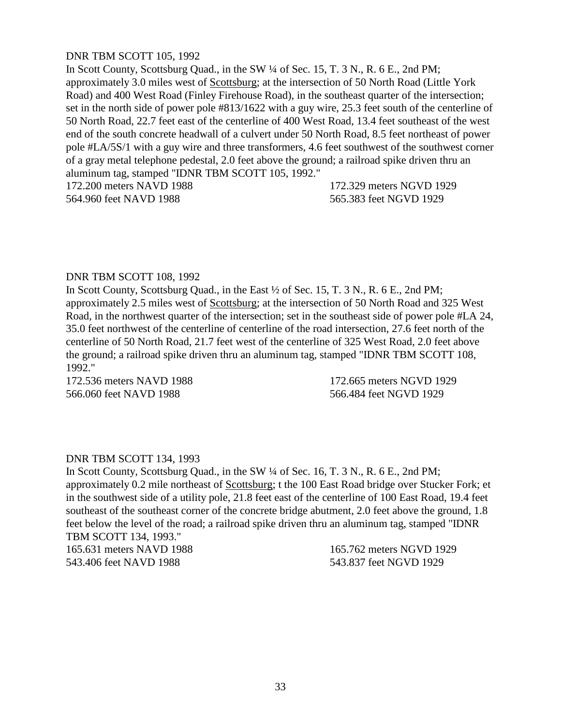# DNR TBM SCOTT 105, 1992

In Scott County, Scottsburg Quad., in the SW ¼ of Sec. 15, T. 3 N., R. 6 E., 2nd PM; approximately 3.0 miles west of Scottsburg; at the intersection of 50 North Road (Little York Road) and 400 West Road (Finley Firehouse Road), in the southeast quarter of the intersection; set in the north side of power pole #813/1622 with a guy wire, 25.3 feet south of the centerline of 50 North Road, 22.7 feet east of the centerline of 400 West Road, 13.4 feet southeast of the west end of the south concrete headwall of a culvert under 50 North Road, 8.5 feet northeast of power pole #LA/5S/1 with a guy wire and three transformers, 4.6 feet southwest of the southwest corner of a gray metal telephone pedestal, 2.0 feet above the ground; a railroad spike driven thru an aluminum tag, stamped "IDNR TBM SCOTT 105, 1992."

564.960 feet NAVD 1988 565.383 feet NGVD 1929

172.200 meters NAVD 1988 172.329 meters NGVD 1929

# DNR TBM SCOTT 108, 1992

In Scott County, Scottsburg Quad., in the East ½ of Sec. 15, T. 3 N., R. 6 E., 2nd PM; approximately 2.5 miles west of Scottsburg; at the intersection of 50 North Road and 325 West Road, in the northwest quarter of the intersection; set in the southeast side of power pole #LA 24, 35.0 feet northwest of the centerline of centerline of the road intersection, 27.6 feet north of the centerline of 50 North Road, 21.7 feet west of the centerline of 325 West Road, 2.0 feet above the ground; a railroad spike driven thru an aluminum tag, stamped "IDNR TBM SCOTT 108, 1992."

566.060 feet NAVD 1988 566.484 feet NGVD 1929

172.536 meters NAVD 1988 172.665 meters NGVD 1929

# DNR TBM SCOTT 134, 1993

In Scott County, Scottsburg Quad., in the SW  $\frac{1}{4}$  of Sec. 16, T. 3 N., R. 6 E., 2nd PM; approximately 0.2 mile northeast of Scottsburg; t the 100 East Road bridge over Stucker Fork; et in the southwest side of a utility pole, 21.8 feet east of the centerline of 100 East Road, 19.4 feet southeast of the southeast corner of the concrete bridge abutment, 2.0 feet above the ground, 1.8 feet below the level of the road; a railroad spike driven thru an aluminum tag, stamped "IDNR TBM SCOTT 134, 1993."

165.631 meters NAVD 1988 165.762 meters NGVD 1929 543.406 feet NAVD 1988 543.837 feet NGVD 1929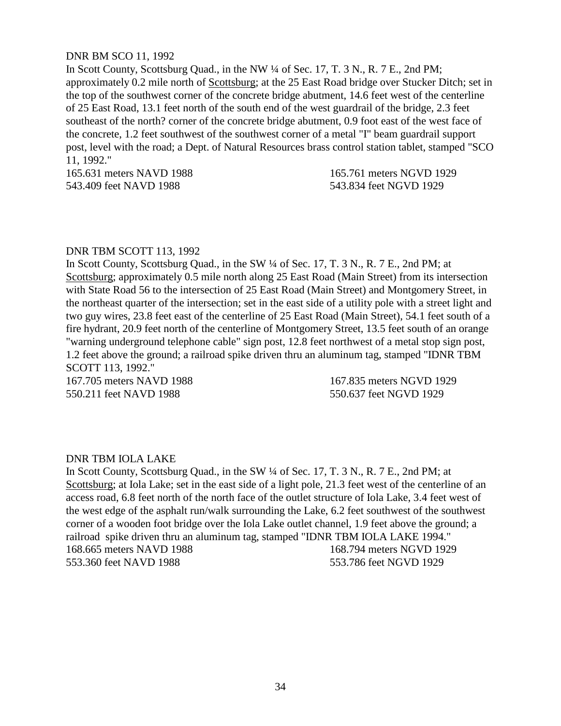## DNR BM SCO 11, 1992

In Scott County, Scottsburg Quad., in the NW ¼ of Sec. 17, T. 3 N., R. 7 E., 2nd PM; approximately 0.2 mile north of Scottsburg; at the 25 East Road bridge over Stucker Ditch; set in the top of the southwest corner of the concrete bridge abutment, 14.6 feet west of the centerline of 25 East Road, 13.1 feet north of the south end of the west guardrail of the bridge, 2.3 feet southeast of the north? corner of the concrete bridge abutment, 0.9 foot east of the west face of the concrete, 1.2 feet southwest of the southwest corner of a metal "I" beam guardrail support post, level with the road; a Dept. of Natural Resources brass control station tablet, stamped "SCO 11, 1992."

165.631 meters NAVD 1988 165.761 meters NGVD 1929 543.409 feet NAVD 1988 543.834 feet NGVD 1929

#### DNR TBM SCOTT 113, 1992

In Scott County, Scottsburg Quad., in the SW  $\frac{1}{4}$  of Sec. 17, T. 3 N., R. 7 E., 2nd PM; at Scottsburg; approximately 0.5 mile north along 25 East Road (Main Street) from its intersection with State Road 56 to the intersection of 25 East Road (Main Street) and Montgomery Street, in the northeast quarter of the intersection; set in the east side of a utility pole with a street light and two guy wires, 23.8 feet east of the centerline of 25 East Road (Main Street), 54.1 feet south of a fire hydrant, 20.9 feet north of the centerline of Montgomery Street, 13.5 feet south of an orange "warning underground telephone cable" sign post, 12.8 feet northwest of a metal stop sign post, 1.2 feet above the ground; a railroad spike driven thru an aluminum tag, stamped "IDNR TBM SCOTT 113, 1992."

550.211 feet NAVD 1988 550.637 feet NGVD 1929

167.705 meters NAVD 1988 167.835 meters NGVD 1929

#### DNR TBM IOLA LAKE

In Scott County, Scottsburg Quad., in the SW  $\frac{1}{4}$  of Sec. 17, T. 3 N., R. 7 E., 2nd PM; at Scottsburg; at Iola Lake; set in the east side of a light pole, 21.3 feet west of the centerline of an access road, 6.8 feet north of the north face of the outlet structure of Iola Lake, 3.4 feet west of the west edge of the asphalt run/walk surrounding the Lake, 6.2 feet southwest of the southwest corner of a wooden foot bridge over the Iola Lake outlet channel, 1.9 feet above the ground; a railroad spike driven thru an aluminum tag, stamped "IDNR TBM IOLA LAKE 1994." 168.665 meters NAVD 1988 168.794 meters NGVD 1929 553.360 feet NAVD 1988 553.786 feet NGVD 1929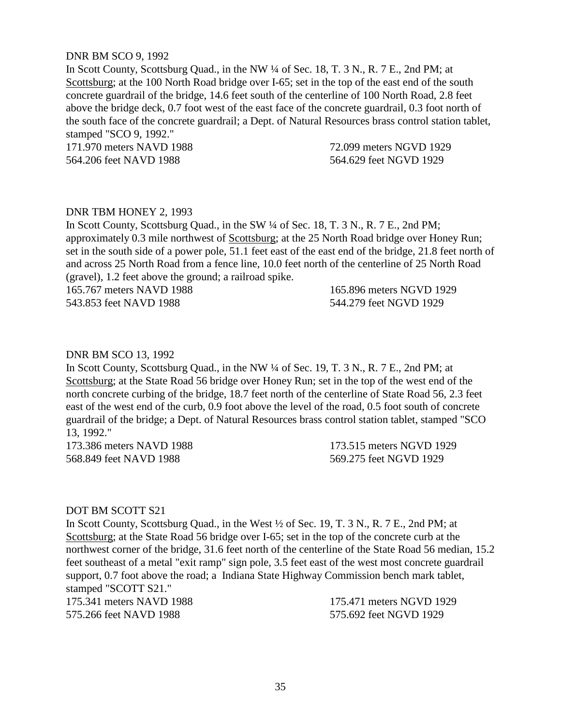## DNR BM SCO 9, 1992

In Scott County, Scottsburg Quad., in the NW ¼ of Sec. 18, T. 3 N., R. 7 E., 2nd PM; at Scottsburg; at the 100 North Road bridge over I-65; set in the top of the east end of the south concrete guardrail of the bridge, 14.6 feet south of the centerline of 100 North Road, 2.8 feet above the bridge deck, 0.7 foot west of the east face of the concrete guardrail, 0.3 foot north of the south face of the concrete guardrail; a Dept. of Natural Resources brass control station tablet, stamped "SCO 9, 1992."

171.970 meters NAVD 1988 72.099 meters NGVD 1929 564.206 feet NAVD 1988 564.629 feet NGVD 1929

# DNR TBM HONEY 2, 1993

In Scott County, Scottsburg Quad., in the SW ¼ of Sec. 18, T. 3 N., R. 7 E., 2nd PM; approximately 0.3 mile northwest of Scottsburg; at the 25 North Road bridge over Honey Run; set in the south side of a power pole, 51.1 feet east of the east end of the bridge, 21.8 feet north of and across 25 North Road from a fence line, 10.0 feet north of the centerline of 25 North Road (gravel), 1.2 feet above the ground; a railroad spike.

165.767 meters NAVD 1988 165.896 meters NGVD 1929 543.853 feet NAVD 1988 544.279 feet NGVD 1929

## DNR BM SCO 13, 1992

In Scott County, Scottsburg Quad., in the NW ¼ of Sec. 19, T. 3 N., R. 7 E., 2nd PM; at Scottsburg; at the State Road 56 bridge over Honey Run; set in the top of the west end of the north concrete curbing of the bridge, 18.7 feet north of the centerline of State Road 56, 2.3 feet east of the west end of the curb, 0.9 foot above the level of the road, 0.5 foot south of concrete guardrail of the bridge; a Dept. of Natural Resources brass control station tablet, stamped "SCO 13, 1992."

568.849 feet NAVD 1988 569.275 feet NGVD 1929

173.386 meters NAVD 1988 173.515 meters NGVD 1929

#### DOT BM SCOTT S21

In Scott County, Scottsburg Quad., in the West ½ of Sec. 19, T. 3 N., R. 7 E., 2nd PM; at Scottsburg; at the State Road 56 bridge over I-65; set in the top of the concrete curb at the northwest corner of the bridge, 31.6 feet north of the centerline of the State Road 56 median, 15.2 feet southeast of a metal "exit ramp" sign pole, 3.5 feet east of the west most concrete guardrail support, 0.7 foot above the road; a Indiana State Highway Commission bench mark tablet, stamped "SCOTT S21."

175.341 meters NAVD 1988 175.471 meters NGVD 1929 575.266 feet NAVD 1988 575.692 feet NGVD 1929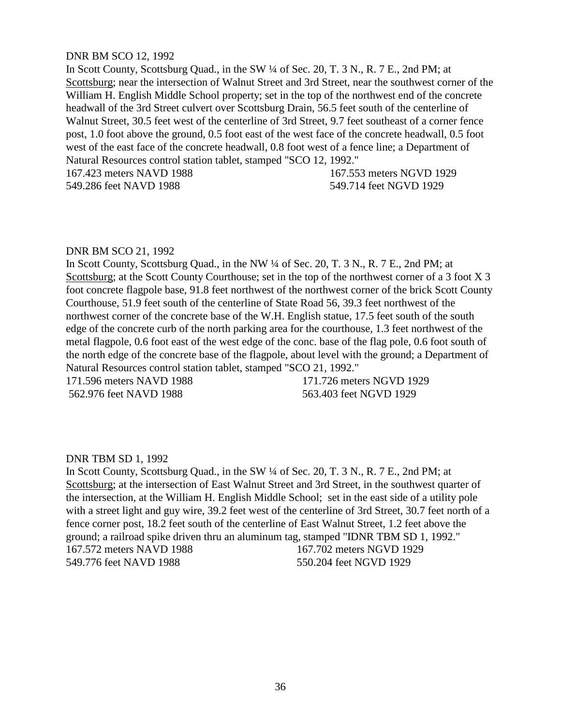## DNR BM SCO 12, 1992

In Scott County, Scottsburg Quad., in the SW  $\frac{1}{4}$  of Sec. 20, T. 3 N., R. 7 E., 2nd PM; at Scottsburg; near the intersection of Walnut Street and 3rd Street, near the southwest corner of the William H. English Middle School property; set in the top of the northwest end of the concrete headwall of the 3rd Street culvert over Scottsburg Drain, 56.5 feet south of the centerline of Walnut Street, 30.5 feet west of the centerline of 3rd Street, 9.7 feet southeast of a corner fence post, 1.0 foot above the ground, 0.5 foot east of the west face of the concrete headwall, 0.5 foot west of the east face of the concrete headwall, 0.8 foot west of a fence line; a Department of Natural Resources control station tablet, stamped "SCO 12, 1992."

167.423 meters NAVD 1988 167.553 meters NGVD 1929 549.286 feet NAVD 1988 549.714 feet NGVD 1929

## DNR BM SCO 21, 1992

In Scott County, Scottsburg Quad., in the NW ¼ of Sec. 20, T. 3 N., R. 7 E., 2nd PM; at Scottsburg; at the Scott County Courthouse; set in the top of the northwest corner of a 3 foot X 3 foot concrete flagpole base, 91.8 feet northwest of the northwest corner of the brick Scott County Courthouse, 51.9 feet south of the centerline of State Road 56, 39.3 feet northwest of the northwest corner of the concrete base of the W.H. English statue, 17.5 feet south of the south edge of the concrete curb of the north parking area for the courthouse, 1.3 feet northwest of the metal flagpole, 0.6 foot east of the west edge of the conc. base of the flag pole, 0.6 foot south of the north edge of the concrete base of the flagpole, about level with the ground; a Department of Natural Resources control station tablet, stamped "SCO 21, 1992."

171.596 meters NAVD 1988 171.726 meters NGVD 1929 562.976 feet NAVD 1988 563.403 feet NGVD 1929

# DNR TBM SD 1, 1992

In Scott County, Scottsburg Quad., in the SW  $\frac{1}{4}$  of Sec. 20, T. 3 N., R. 7 E., 2nd PM; at Scottsburg; at the intersection of East Walnut Street and 3rd Street, in the southwest quarter of the intersection, at the William H. English Middle School; set in the east side of a utility pole with a street light and guy wire, 39.2 feet west of the centerline of 3rd Street, 30.7 feet north of a fence corner post, 18.2 feet south of the centerline of East Walnut Street, 1.2 feet above the ground; a railroad spike driven thru an aluminum tag, stamped "IDNR TBM SD 1, 1992." 167.572 meters NAVD 1988 167.702 meters NGVD 1929 549.776 feet NAVD 1988 550.204 feet NGVD 1929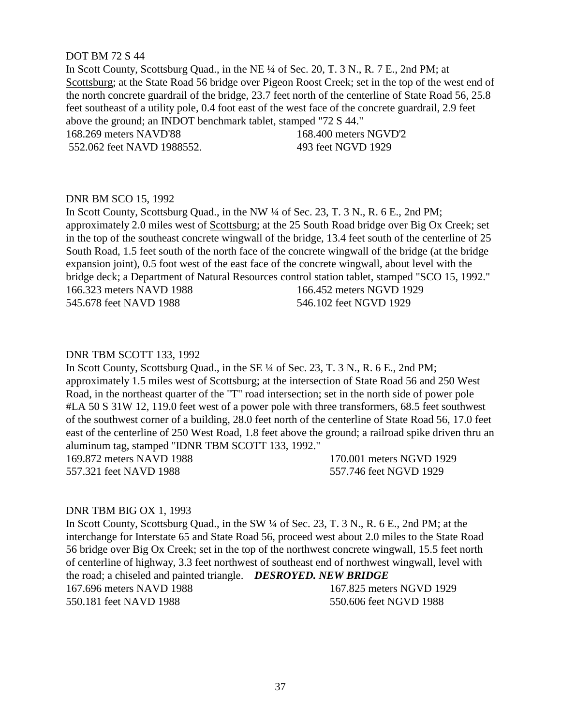## DOT BM 72 S 44

In Scott County, Scottsburg Quad., in the NE ¼ of Sec. 20, T. 3 N., R. 7 E., 2nd PM; at Scottsburg; at the State Road 56 bridge over Pigeon Roost Creek; set in the top of the west end of the north concrete guardrail of the bridge, 23.7 feet north of the centerline of State Road 56, 25.8 feet southeast of a utility pole, 0.4 foot east of the west face of the concrete guardrail, 2.9 feet above the ground; an INDOT benchmark tablet, stamped "72 S 44." 168.269 meters NAVD'88 168.400 meters NGVD'2 552.062 feet NAVD 1988552. 493 feet NGVD 1929

## DNR BM SCO 15, 1992

In Scott County, Scottsburg Quad., in the NW ¼ of Sec. 23, T. 3 N., R. 6 E., 2nd PM; approximately 2.0 miles west of Scottsburg; at the 25 South Road bridge over Big Ox Creek; set in the top of the southeast concrete wingwall of the bridge, 13.4 feet south of the centerline of 25 South Road, 1.5 feet south of the north face of the concrete wingwall of the bridge (at the bridge expansion joint), 0.5 foot west of the east face of the concrete wingwall, about level with the bridge deck; a Department of Natural Resources control station tablet, stamped "SCO 15, 1992." 166.323 meters NAVD 1988 166.452 meters NGVD 1929 545.678 feet NAVD 1988 546.102 feet NGVD 1929

## DNR TBM SCOTT 133, 1992

In Scott County, Scottsburg Quad., in the SE ¼ of Sec. 23, T. 3 N., R. 6 E., 2nd PM; approximately 1.5 miles west of Scottsburg; at the intersection of State Road 56 and 250 West Road, in the northeast quarter of the "T" road intersection; set in the north side of power pole #LA 50 S 31W 12, 119.0 feet west of a power pole with three transformers, 68.5 feet southwest of the southwest corner of a building, 28.0 feet north of the centerline of State Road 56, 17.0 feet east of the centerline of 250 West Road, 1.8 feet above the ground; a railroad spike driven thru an aluminum tag, stamped "IDNR TBM SCOTT 133, 1992." 169.872 meters NAVD 1988 170.001 meters NGVD 1929 557.321 feet NAVD 1988 557.746 feet NGVD 1929

#### DNR TBM BIG OX 1, 1993

In Scott County, Scottsburg Quad., in the SW ¼ of Sec. 23, T. 3 N., R. 6 E., 2nd PM; at the interchange for Interstate 65 and State Road 56, proceed west about 2.0 miles to the State Road 56 bridge over Big Ox Creek; set in the top of the northwest concrete wingwall, 15.5 feet north of centerline of highway, 3.3 feet northwest of southeast end of northwest wingwall, level with the road; a chiseled and painted triangle. *DESROYED. NEW BRIDGE* 167.696 meters NAVD 1988 167.825 meters NGVD 1929 550.181 feet NAVD 1988 550.606 feet NGVD 1988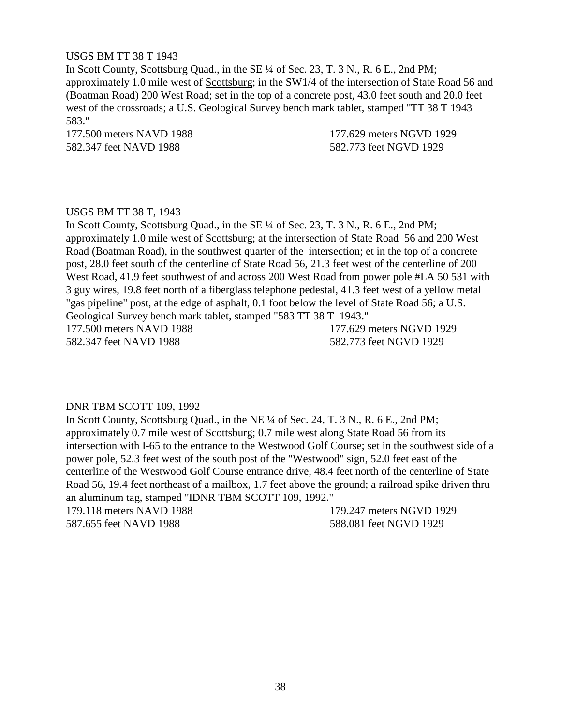# USGS BM TT 38 T 1943

In Scott County, Scottsburg Quad., in the SE ¼ of Sec. 23, T. 3 N., R. 6 E., 2nd PM; approximately 1.0 mile west of Scottsburg; in the SW1/4 of the intersection of State Road 56 and (Boatman Road) 200 West Road; set in the top of a concrete post, 43.0 feet south and 20.0 feet west of the crossroads; a U.S. Geological Survey bench mark tablet, stamped "TT 38 T 1943 583."

582.347 feet NAVD 1988 582.773 feet NGVD 1929

177.500 meters NAVD 1988 177.629 meters NGVD 1929

## USGS BM TT 38 T, 1943

In Scott County, Scottsburg Quad., in the SE ¼ of Sec. 23, T. 3 N., R. 6 E., 2nd PM; approximately 1.0 mile west of Scottsburg; at the intersection of State Road 56 and 200 West Road (Boatman Road), in the southwest quarter of the intersection; et in the top of a concrete post, 28.0 feet south of the centerline of State Road 56, 21.3 feet west of the centerline of 200 West Road, 41.9 feet southwest of and across 200 West Road from power pole #LA 50 531 with 3 guy wires, 19.8 feet north of a fiberglass telephone pedestal, 41.3 feet west of a yellow metal "gas pipeline" post, at the edge of asphalt, 0.1 foot below the level of State Road 56; a U.S. Geological Survey bench mark tablet, stamped "583 TT 38 T 1943." 177.500 meters NAVD 1988 177.629 meters NGVD 1929 582.347 feet NAVD 1988 582.773 feet NGVD 1929

# DNR TBM SCOTT 109, 1992

In Scott County, Scottsburg Quad., in the NE ¼ of Sec. 24, T. 3 N., R. 6 E., 2nd PM; approximately 0.7 mile west of Scottsburg; 0.7 mile west along State Road 56 from its intersection with I-65 to the entrance to the Westwood Golf Course; set in the southwest side of a power pole, 52.3 feet west of the south post of the "Westwood" sign, 52.0 feet east of the centerline of the Westwood Golf Course entrance drive, 48.4 feet north of the centerline of State Road 56, 19.4 feet northeast of a mailbox, 1.7 feet above the ground; a railroad spike driven thru an aluminum tag, stamped "IDNR TBM SCOTT 109, 1992."

179.118 meters NAVD 1988 179.247 meters NGVD 1929 587.655 feet NAVD 1988 588.081 feet NGVD 1929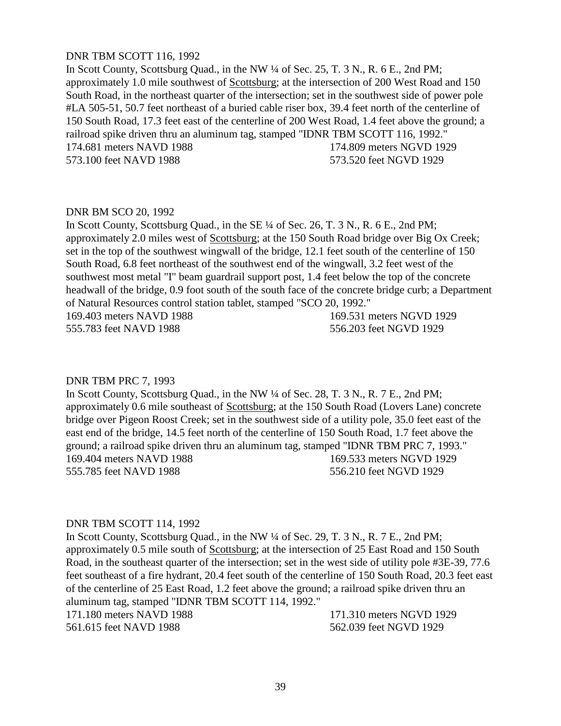# DNR TBM SCOTT 116, 1992

In Scott County, Scottsburg Quad., in the NW ¼ of Sec. 25, T. 3 N., R. 6 E., 2nd PM; approximately 1.0 mile southwest of Scottsburg; at the intersection of 200 West Road and 150 South Road, in the northeast quarter of the intersection; set in the southwest side of power pole #LA 505-51, 50.7 feet northeast of a buried cable riser box, 39.4 feet north of the centerline of 150 South Road, 17.3 feet east of the centerline of 200 West Road, 1.4 feet above the ground; a railroad spike driven thru an aluminum tag, stamped "IDNR TBM SCOTT 116, 1992." 174.681 meters NAVD 1988 174.809 meters NGVD 1929 573.100 feet NAVD 1988 573.520 feet NGVD 1929

#### DNR BM SCO 20, 1992

In Scott County, Scottsburg Quad., in the SE ¼ of Sec. 26, T. 3 N., R. 6 E., 2nd PM; approximately 2.0 miles west of Scottsburg; at the 150 South Road bridge over Big Ox Creek; set in the top of the southwest wingwall of the bridge, 12.1 feet south of the centerline of 150 South Road, 6.8 feet northeast of the southwest end of the wingwall, 3.2 feet west of the southwest most metal "I" beam guardrail support post, 1.4 feet below the top of the concrete headwall of the bridge, 0.9 foot south of the south face of the concrete bridge curb; a Department of Natural Resources control station tablet, stamped "SCO 20, 1992."

555.783 feet NAVD 1988 556.203 feet NGVD 1929

169.403 meters NAVD 1988 169.531 meters NGVD 1929

#### DNR TBM PRC 7, 1993

In Scott County, Scottsburg Quad., in the NW ¼ of Sec. 28, T. 3 N., R. 7 E., 2nd PM; approximately 0.6 mile southeast of Scottsburg; at the 150 South Road (Lovers Lane) concrete bridge over Pigeon Roost Creek; set in the southwest side of a utility pole, 35.0 feet east of the east end of the bridge, 14.5 feet north of the centerline of 150 South Road, 1.7 feet above the ground; a railroad spike driven thru an aluminum tag, stamped "IDNR TBM PRC 7, 1993." 169.404 meters NAVD 1988 169.533 meters NGVD 1929 555.785 feet NAVD 1988 556.210 feet NGVD 1929

#### DNR TBM SCOTT 114, 1992

In Scott County, Scottsburg Quad., in the NW ¼ of Sec. 29, T. 3 N., R. 7 E., 2nd PM; approximately 0.5 mile south of Scottsburg; at the intersection of 25 East Road and 150 South Road, in the southeast quarter of the intersection; set in the west side of utility pole #3E-39, 77.6 feet southeast of a fire hydrant, 20.4 feet south of the centerline of 150 South Road, 20.3 feet east of the centerline of 25 East Road, 1.2 feet above the ground; a railroad spike driven thru an aluminum tag, stamped "IDNR TBM SCOTT 114, 1992."

171.180 meters NAVD 1988 171.310 meters NGVD 1929 561.615 feet NAVD 1988 562.039 feet NGVD 1929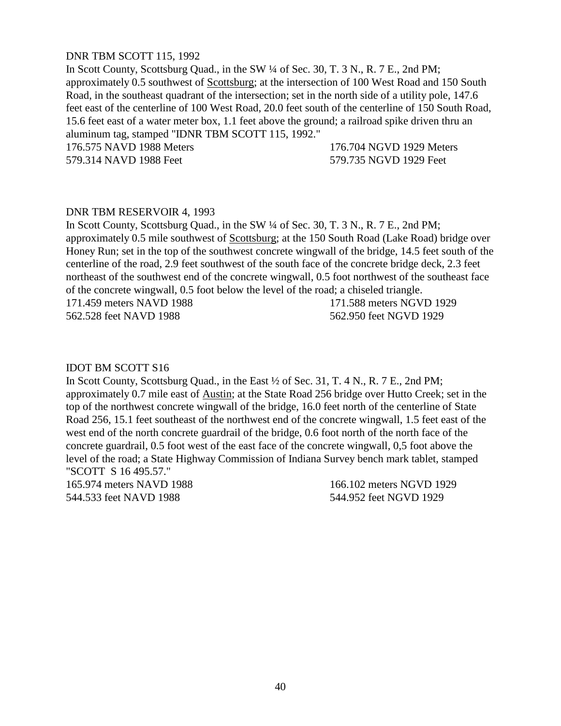# DNR TBM SCOTT 115, 1992

In Scott County, Scottsburg Quad., in the SW ¼ of Sec. 30, T. 3 N., R. 7 E., 2nd PM; approximately 0.5 southwest of Scottsburg; at the intersection of 100 West Road and 150 South Road, in the southeast quadrant of the intersection; set in the north side of a utility pole, 147.6 feet east of the centerline of 100 West Road, 20.0 feet south of the centerline of 150 South Road, 15.6 feet east of a water meter box, 1.1 feet above the ground; a railroad spike driven thru an aluminum tag, stamped "IDNR TBM SCOTT 115, 1992."

176.575 NAVD 1988 Meters 176.704 NGVD 1929 Meters 579.314 NAVD 1988 Feet 579.735 NGVD 1929 Feet

## DNR TBM RESERVOIR 4, 1993

In Scott County, Scottsburg Quad., in the SW ¼ of Sec. 30, T. 3 N., R. 7 E., 2nd PM; approximately 0.5 mile southwest of Scottsburg; at the 150 South Road (Lake Road) bridge over Honey Run; set in the top of the southwest concrete wingwall of the bridge, 14.5 feet south of the centerline of the road, 2.9 feet southwest of the south face of the concrete bridge deck, 2.3 feet northeast of the southwest end of the concrete wingwall, 0.5 foot northwest of the southeast face of the concrete wingwall, 0.5 foot below the level of the road; a chiseled triangle.

562.528 feet NAVD 1988 562.950 feet NGVD 1929

171.459 meters NAVD 1988 171.588 meters NGVD 1929

#### IDOT BM SCOTT S16

In Scott County, Scottsburg Quad., in the East ½ of Sec. 31, T. 4 N., R. 7 E., 2nd PM; approximately 0.7 mile east of Austin; at the State Road 256 bridge over Hutto Creek; set in the top of the northwest concrete wingwall of the bridge, 16.0 feet north of the centerline of State Road 256, 15.1 feet southeast of the northwest end of the concrete wingwall, 1.5 feet east of the west end of the north concrete guardrail of the bridge, 0.6 foot north of the north face of the concrete guardrail, 0.5 foot west of the east face of the concrete wingwall, 0,5 foot above the level of the road; a State Highway Commission of Indiana Survey bench mark tablet, stamped "SCOTT S 16 495.57."

165.974 meters NAVD 1988 166.102 meters NGVD 1929 544.533 feet NAVD 1988 544.952 feet NGVD 1929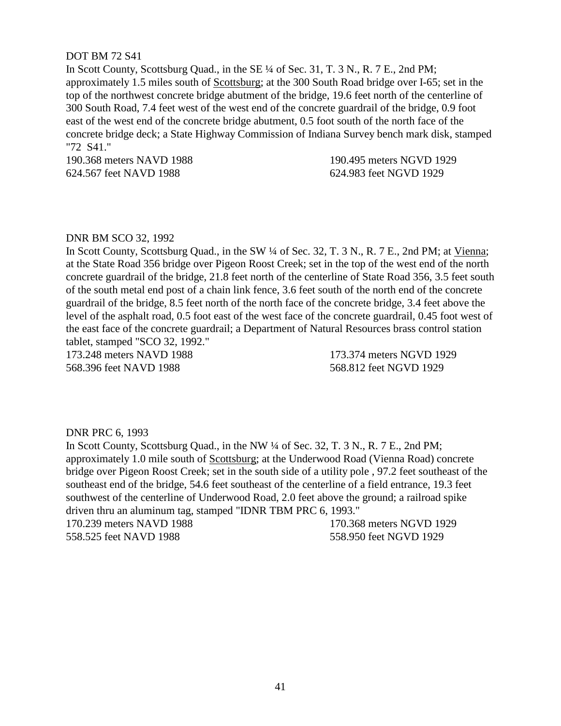## DOT BM 72 S41

In Scott County, Scottsburg Quad., in the SE ¼ of Sec. 31, T. 3 N., R. 7 E., 2nd PM; approximately 1.5 miles south of Scottsburg; at the 300 South Road bridge over I-65; set in the top of the northwest concrete bridge abutment of the bridge, 19.6 feet north of the centerline of 300 South Road, 7.4 feet west of the west end of the concrete guardrail of the bridge, 0.9 foot east of the west end of the concrete bridge abutment, 0.5 foot south of the north face of the concrete bridge deck; a State Highway Commission of Indiana Survey bench mark disk, stamped "72 S41."

190.368 meters NAVD 1988 190.495 meters NGVD 1929 624.567 feet NAVD 1988 624.983 feet NGVD 1929

#### DNR BM SCO 32, 1992

In Scott County, Scottsburg Quad., in the SW ¼ of Sec. 32, T. 3 N., R. 7 E., 2nd PM; at Vienna; at the State Road 356 bridge over Pigeon Roost Creek; set in the top of the west end of the north concrete guardrail of the bridge, 21.8 feet north of the centerline of State Road 356, 3.5 feet south of the south metal end post of a chain link fence, 3.6 feet south of the north end of the concrete guardrail of the bridge, 8.5 feet north of the north face of the concrete bridge, 3.4 feet above the level of the asphalt road, 0.5 foot east of the west face of the concrete guardrail, 0.45 foot west of the east face of the concrete guardrail; a Department of Natural Resources brass control station tablet, stamped "SCO 32, 1992."

173.248 meters NAVD 1988 173.374 meters NGVD 1929 568.396 feet NAVD 1988 568.812 feet NGVD 1929

#### DNR PRC 6, 1993

In Scott County, Scottsburg Quad., in the NW ¼ of Sec. 32, T. 3 N., R. 7 E., 2nd PM; approximately 1.0 mile south of Scottsburg; at the Underwood Road (Vienna Road) concrete bridge over Pigeon Roost Creek; set in the south side of a utility pole , 97.2 feet southeast of the southeast end of the bridge, 54.6 feet southeast of the centerline of a field entrance, 19.3 feet southwest of the centerline of Underwood Road, 2.0 feet above the ground; a railroad spike driven thru an aluminum tag, stamped "IDNR TBM PRC 6, 1993."

170.239 meters NAVD 1988 170.368 meters NGVD 1929 558.525 feet NAVD 1988 558.950 feet NGVD 1929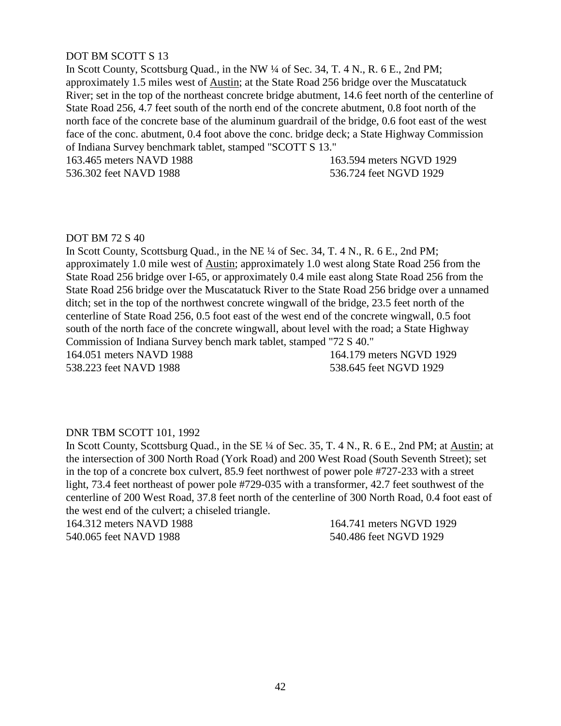# DOT BM SCOTT S 13

In Scott County, Scottsburg Quad., in the NW  $\frac{1}{4}$  of Sec. 34, T. 4 N., R. 6 E., 2nd PM; approximately 1.5 miles west of Austin; at the State Road 256 bridge over the Muscatatuck River; set in the top of the northeast concrete bridge abutment, 14.6 feet north of the centerline of State Road 256, 4.7 feet south of the north end of the concrete abutment, 0.8 foot north of the north face of the concrete base of the aluminum guardrail of the bridge, 0.6 foot east of the west face of the conc. abutment, 0.4 foot above the conc. bridge deck; a State Highway Commission of Indiana Survey benchmark tablet, stamped "SCOTT S 13."

163.465 meters NAVD 1988 163.594 meters NGVD 1929

536.302 feet NAVD 1988 536.724 feet NGVD 1929

## DOT BM 72 S 40

In Scott County, Scottsburg Quad., in the NE ¼ of Sec. 34, T. 4 N., R. 6 E., 2nd PM; approximately 1.0 mile west of Austin; approximately 1.0 west along State Road 256 from the State Road 256 bridge over I-65, or approximately 0.4 mile east along State Road 256 from the State Road 256 bridge over the Muscatatuck River to the State Road 256 bridge over a unnamed ditch; set in the top of the northwest concrete wingwall of the bridge, 23.5 feet north of the centerline of State Road 256, 0.5 foot east of the west end of the concrete wingwall, 0.5 foot south of the north face of the concrete wingwall, about level with the road; a State Highway Commission of Indiana Survey bench mark tablet, stamped "72 S 40."

164.051 meters NAVD 1988 164.179 meters NGVD 1929

538.223 feet NAVD 1988 538.645 feet NGVD 1929

# DNR TBM SCOTT 101, 1992

In Scott County, Scottsburg Quad., in the SE ¼ of Sec. 35, T. 4 N., R. 6 E., 2nd PM; at Austin; at the intersection of 300 North Road (York Road) and 200 West Road (South Seventh Street); set in the top of a concrete box culvert, 85.9 feet northwest of power pole #727-233 with a street light, 73.4 feet northeast of power pole #729-035 with a transformer, 42.7 feet southwest of the centerline of 200 West Road, 37.8 feet north of the centerline of 300 North Road, 0.4 foot east of the west end of the culvert; a chiseled triangle.

164.312 meters NAVD 1988 164.741 meters NGVD 1929 540.065 feet NAVD 1988 540.486 feet NGVD 1929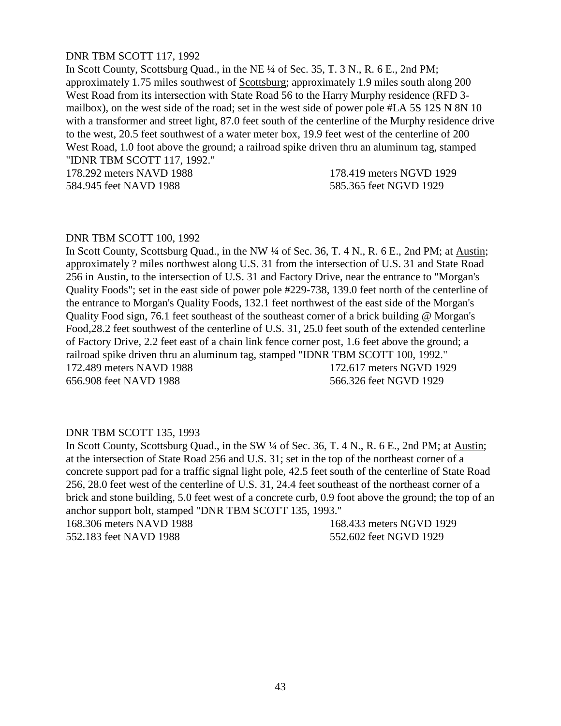# DNR TBM SCOTT 117, 1992

In Scott County, Scottsburg Quad., in the NE ¼ of Sec. 35, T. 3 N., R. 6 E., 2nd PM; approximately 1.75 miles southwest of Scottsburg; approximately 1.9 miles south along 200 West Road from its intersection with State Road 56 to the Harry Murphy residence (RFD 3 mailbox), on the west side of the road; set in the west side of power pole #LA 5S 12S N 8N 10 with a transformer and street light, 87.0 feet south of the centerline of the Murphy residence drive to the west, 20.5 feet southwest of a water meter box, 19.9 feet west of the centerline of 200 West Road, 1.0 foot above the ground; a railroad spike driven thru an aluminum tag, stamped "IDNR TBM SCOTT 117, 1992."

178.292 meters NAVD 1988 178.419 meters NGVD 1929 584.945 feet NAVD 1988 585.365 feet NGVD 1929

#### DNR TBM SCOTT 100, 1992

In Scott County, Scottsburg Quad., in the NW ¼ of Sec. 36, T. 4 N., R. 6 E., 2nd PM; at Austin; approximately ? miles northwest along U.S. 31 from the intersection of U.S. 31 and State Road 256 in Austin, to the intersection of U.S. 31 and Factory Drive, near the entrance to "Morgan's Quality Foods"; set in the east side of power pole #229-738, 139.0 feet north of the centerline of the entrance to Morgan's Quality Foods, 132.1 feet northwest of the east side of the Morgan's Quality Food sign, 76.1 feet southeast of the southeast corner of a brick building @ Morgan's Food,28.2 feet southwest of the centerline of U.S. 31, 25.0 feet south of the extended centerline of Factory Drive, 2.2 feet east of a chain link fence corner post, 1.6 feet above the ground; a railroad spike driven thru an aluminum tag, stamped "IDNR TBM SCOTT 100, 1992." 172.489 meters NAVD 1988 172.617 meters NGVD 1929 656.908 feet NAVD 1988 566.326 feet NGVD 1929

#### DNR TBM SCOTT 135, 1993

In Scott County, Scottsburg Quad., in the SW ¼ of Sec. 36, T. 4 N., R. 6 E., 2nd PM; at Austin; at the intersection of State Road 256 and U.S. 31; set in the top of the northeast corner of a concrete support pad for a traffic signal light pole, 42.5 feet south of the centerline of State Road 256, 28.0 feet west of the centerline of U.S. 31, 24.4 feet southeast of the northeast corner of a brick and stone building, 5.0 feet west of a concrete curb, 0.9 foot above the ground; the top of an anchor support bolt, stamped "DNR TBM SCOTT 135, 1993."

168.306 meters NAVD 1988 168.433 meters NGVD 1929 552.183 feet NAVD 1988 552.602 feet NGVD 1929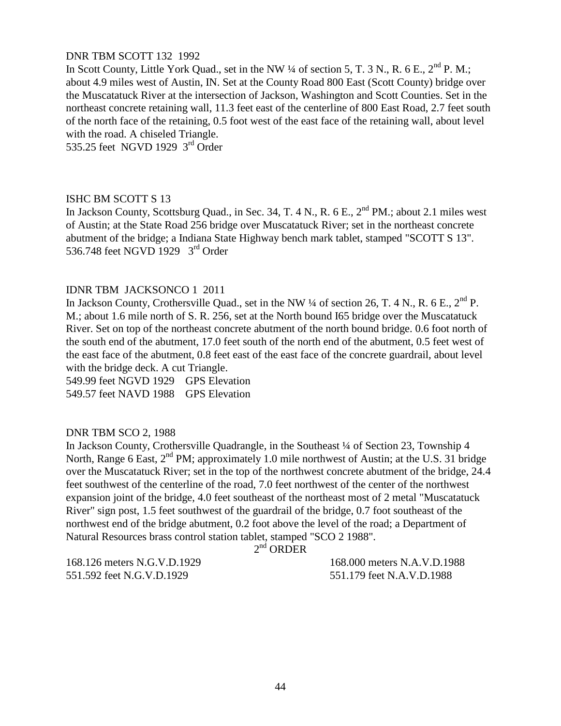# DNR TBM SCOTT 132 1992

In Scott County, Little York Quad., set in the NW ¼ of section 5, T. 3 N., R. 6 E., 2<sup>nd</sup> P. M.; about 4.9 miles west of Austin, IN. Set at the County Road 800 East (Scott County) bridge over the Muscatatuck River at the intersection of Jackson, Washington and Scott Counties. Set in the northeast concrete retaining wall, 11.3 feet east of the centerline of 800 East Road, 2.7 feet south of the north face of the retaining, 0.5 foot west of the east face of the retaining wall, about level with the road. A chiseled Triangle.

535.25 feet NGVD 1929 3<sup>rd</sup> Order

## ISHC BM SCOTT S 13

In Jackson County, Scottsburg Quad., in Sec. 34, T. 4 N., R. 6 E., 2<sup>nd</sup> PM.; about 2.1 miles west of Austin; at the State Road 256 bridge over Muscatatuck River; set in the northeast concrete abutment of the bridge; a Indiana State Highway bench mark tablet, stamped "SCOTT S 13". 536.748 feet NGVD 1929 3<sup>rd</sup> Order

#### IDNR TBM JACKSONCO 1 2011

In Jackson County, Crothersville Quad., set in the NW  $\frac{1}{4}$  of section 26, T. 4 N., R. 6 E.,  $2^{nd}$  P. M.; about 1.6 mile north of S. R. 256, set at the North bound I65 bridge over the Muscatatuck River. Set on top of the northeast concrete abutment of the north bound bridge. 0.6 foot north of the south end of the abutment, 17.0 feet south of the north end of the abutment, 0.5 feet west of the east face of the abutment, 0.8 feet east of the east face of the concrete guardrail, about level with the bridge deck. A cut Triangle.

549.99 feet NGVD 1929 GPS Elevation 549.57 feet NAVD 1988 GPS Elevation

#### DNR TBM SCO 2, 1988

In Jackson County, Crothersville Quadrangle, in the Southeast ¼ of Section 23, Township 4 North, Range 6 East, 2<sup>nd</sup> PM; approximately 1.0 mile northwest of Austin; at the U.S. 31 bridge over the Muscatatuck River; set in the top of the northwest concrete abutment of the bridge, 24.4 feet southwest of the centerline of the road, 7.0 feet northwest of the center of the northwest expansion joint of the bridge, 4.0 feet southeast of the northeast most of 2 metal "Muscatatuck River" sign post, 1.5 feet southwest of the guardrail of the bridge, 0.7 foot southeast of the northwest end of the bridge abutment, 0.2 foot above the level of the road; a Department of Natural Resources brass control station tablet, stamped "SCO 2 1988".

 $2<sup>nd</sup>$  ORDER

551.592 feet N.G.V.D.1929 551.179 feet N.A.V.D.1988

168.126 meters N.G.V.D.1929 168.000 meters N.A.V.D.1988